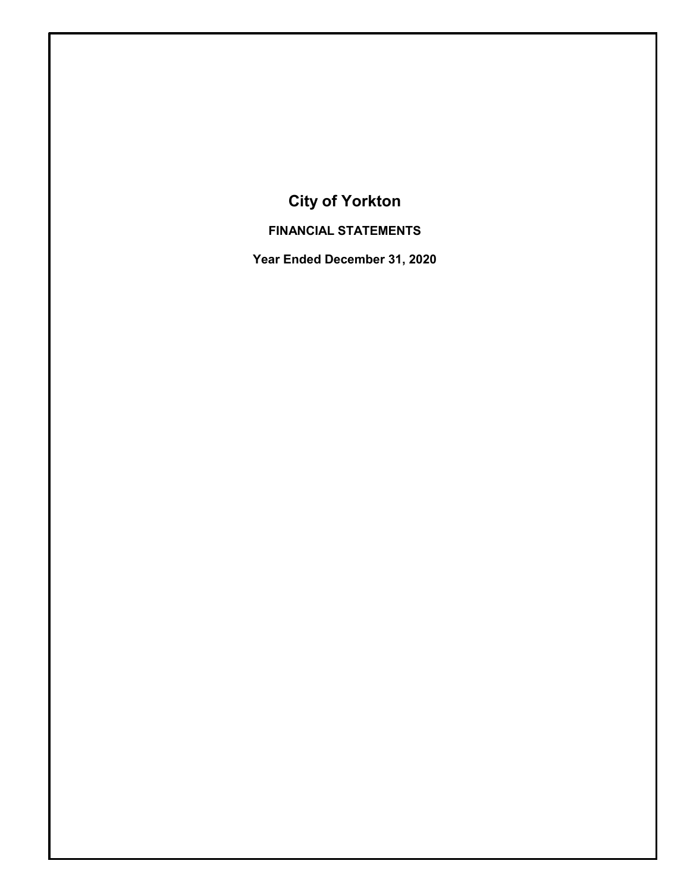# **City of Yorkton**

## **FINANCIAL STATEMENTS**

**Year Ended December 31, 2020**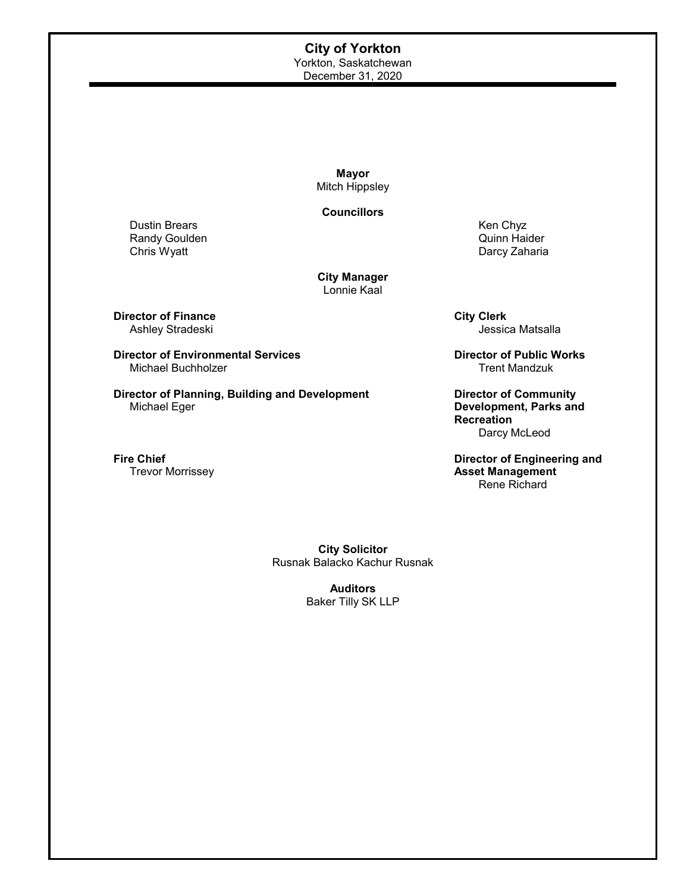# **City of Yorkton** Yorkton, Saskatchewan December 31, 2020 **Mayor** Mitch Hippsley **Councillors** Dustin Brears **Ken Chyz** Randy Goulden Quinn Haider Darcy Zaharia **City Manager** Lonnie Kaal **Director of Finance City Clerk** Ashley Stradeski **Director of Environmental Services**<br>Michael Buchholzer<br>Trent Mandzuk Michael Buchholzer **Director of Planning, Building and Development Director of Community Michael Eger** Michael Eger **Development, Parks and Recreation** Darcy McLeod **Fire Chief Director of Engineering and Trevor Morrissey <b>Director School School Asset Management Asset Management** Rene Richard **City Solicitor** Rusnak Balacko Kachur Rusnak **Auditors** Baker Tilly SK LLP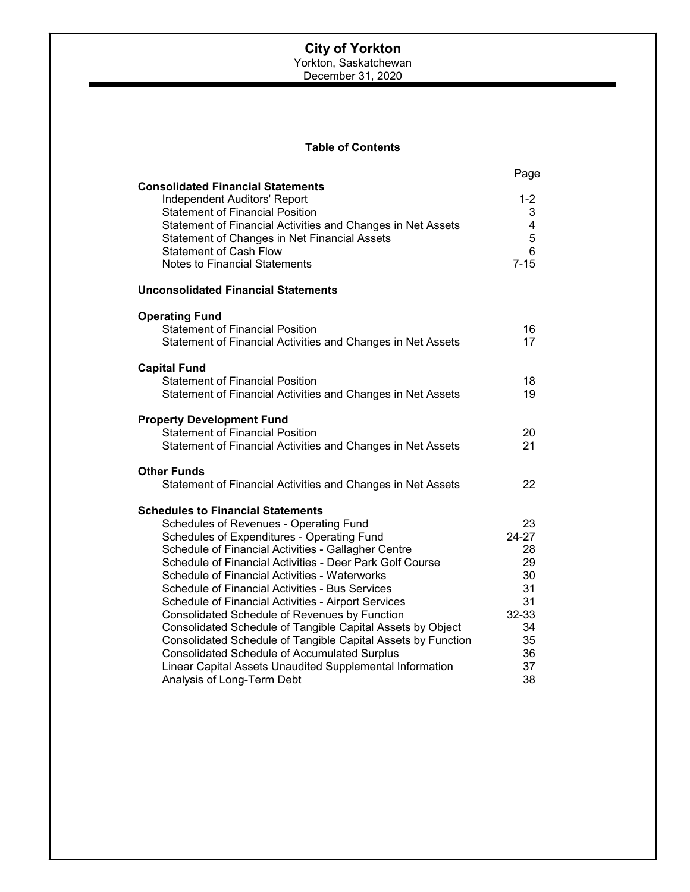Yorkton, Saskatchewan

December 31, 2020

#### **Table of Contents**

|                                                                                                                 | Page           |
|-----------------------------------------------------------------------------------------------------------------|----------------|
| <b>Consolidated Financial Statements</b><br>Independent Auditors' Report                                        | $1 - 2$        |
| <b>Statement of Financial Position</b>                                                                          | 3              |
| Statement of Financial Activities and Changes in Net Assets                                                     | $\overline{4}$ |
| Statement of Changes in Net Financial Assets                                                                    | 5              |
| <b>Statement of Cash Flow</b>                                                                                   | 6              |
| <b>Notes to Financial Statements</b>                                                                            | $7 - 15$       |
| <b>Unconsolidated Financial Statements</b>                                                                      |                |
| <b>Operating Fund</b>                                                                                           |                |
| <b>Statement of Financial Position</b>                                                                          | 16             |
| Statement of Financial Activities and Changes in Net Assets                                                     | 17             |
| <b>Capital Fund</b>                                                                                             |                |
| <b>Statement of Financial Position</b>                                                                          | 18             |
| Statement of Financial Activities and Changes in Net Assets                                                     | 19             |
| <b>Property Development Fund</b>                                                                                |                |
| <b>Statement of Financial Position</b>                                                                          | 20             |
| Statement of Financial Activities and Changes in Net Assets                                                     | 21             |
| <b>Other Funds</b>                                                                                              |                |
| Statement of Financial Activities and Changes in Net Assets                                                     | 22             |
| <b>Schedules to Financial Statements</b>                                                                        |                |
| Schedules of Revenues - Operating Fund                                                                          | 23             |
| Schedules of Expenditures - Operating Fund                                                                      | 24-27          |
| Schedule of Financial Activities - Gallagher Centre<br>Schedule of Financial Activities - Deer Park Golf Course | 28<br>29       |
| Schedule of Financial Activities - Waterworks                                                                   | 30             |
| Schedule of Financial Activities - Bus Services                                                                 | 31             |
| Schedule of Financial Activities - Airport Services                                                             | 31             |
| Consolidated Schedule of Revenues by Function                                                                   | 32-33          |
| Consolidated Schedule of Tangible Capital Assets by Object                                                      | 34             |
| Consolidated Schedule of Tangible Capital Assets by Function                                                    | 35             |
| <b>Consolidated Schedule of Accumulated Surplus</b>                                                             | 36             |
| Linear Capital Assets Unaudited Supplemental Information                                                        | 37             |
| Analysis of Long-Term Debt                                                                                      | 38             |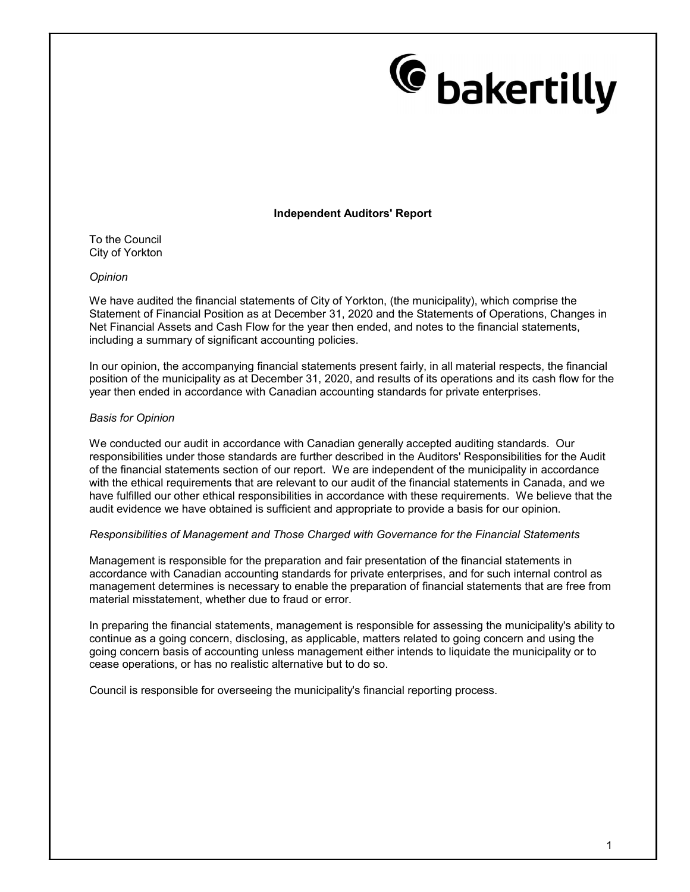

#### **Independent Auditors' Report**

To the Council City of Yorkton

#### *Opinion*

We have audited the financial statements of City of Yorkton, (the municipality), which comprise the Statement of Financial Position as at December 31, 2020 and the Statements of Operations, Changes in Net Financial Assets and Cash Flow for the year then ended, and notes to the financial statements, including a summary of significant accounting policies.

In our opinion, the accompanying financial statements present fairly, in all material respects, the financial position of the municipality as at December 31, 2020, and results of its operations and its cash flow for the year then ended in accordance with Canadian accounting standards for private enterprises.

#### *Basis for Opinion*

We conducted our audit in accordance with Canadian generally accepted auditing standards. Our responsibilities under those standards are further described in the Auditors' Responsibilities for the Audit of the financial statements section of our report. We are independent of the municipality in accordance with the ethical requirements that are relevant to our audit of the financial statements in Canada, and we have fulfilled our other ethical responsibilities in accordance with these requirements. We believe that the audit evidence we have obtained is sufficient and appropriate to provide a basis for our opinion.

#### *Responsibilities of Management and Those Charged with Governance for the Financial Statements*

Management is responsible for the preparation and fair presentation of the financial statements in accordance with Canadian accounting standards for private enterprises, and for such internal control as management determines is necessary to enable the preparation of financial statements that are free from material misstatement, whether due to fraud or error.

In preparing the financial statements, management is responsible for assessing the municipality's ability to continue as a going concern, disclosing, as applicable, matters related to going concern and using the going concern basis of accounting unless management either intends to liquidate the municipality or to cease operations, or has no realistic alternative but to do so.

Council is responsible for overseeing the municipality's financial reporting process.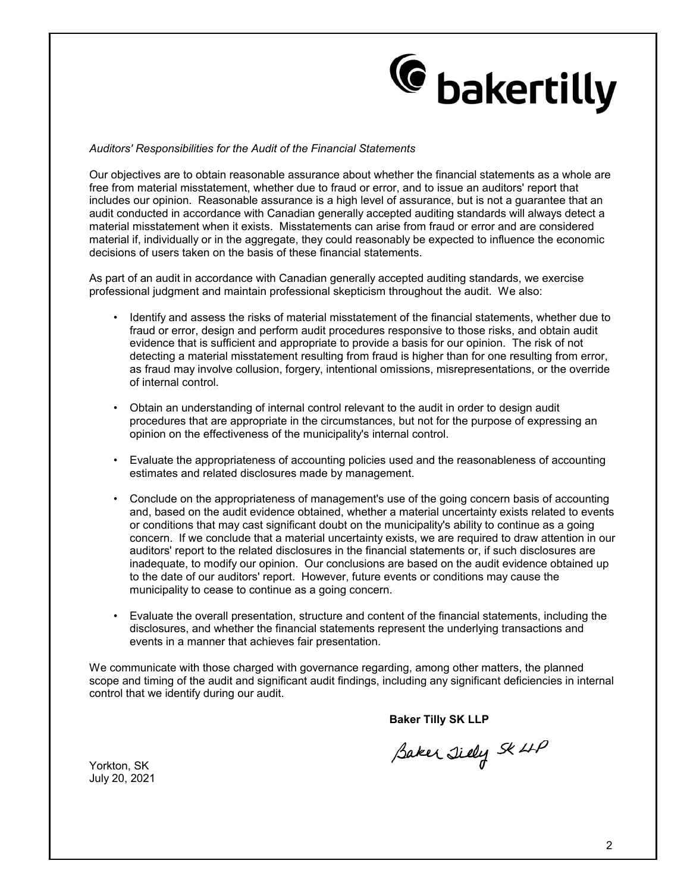

#### *Auditors' Responsibilities for the Audit of the Financial Statements*

Our objectives are to obtain reasonable assurance about whether the financial statements as a whole are free from material misstatement, whether due to fraud or error, and to issue an auditors' report that includes our opinion. Reasonable assurance is a high level of assurance, but is not a guarantee that an audit conducted in accordance with Canadian generally accepted auditing standards will always detect a material misstatement when it exists. Misstatements can arise from fraud or error and are considered material if, individually or in the aggregate, they could reasonably be expected to influence the economic decisions of users taken on the basis of these financial statements.

As part of an audit in accordance with Canadian generally accepted auditing standards, we exercise professional judgment and maintain professional skepticism throughout the audit. We also:

- Identify and assess the risks of material misstatement of the financial statements, whether due to fraud or error, design and perform audit procedures responsive to those risks, and obtain audit evidence that is sufficient and appropriate to provide a basis for our opinion. The risk of not detecting a material misstatement resulting from fraud is higher than for one resulting from error, as fraud may involve collusion, forgery, intentional omissions, misrepresentations, or the override of internal control.
- Obtain an understanding of internal control relevant to the audit in order to design audit procedures that are appropriate in the circumstances, but not for the purpose of expressing an opinion on the effectiveness of the municipality's internal control.
- Evaluate the appropriateness of accounting policies used and the reasonableness of accounting estimates and related disclosures made by management.
- Conclude on the appropriateness of management's use of the going concern basis of accounting and, based on the audit evidence obtained, whether a material uncertainty exists related to events or conditions that may cast significant doubt on the municipality's ability to continue as a going concern. If we conclude that a material uncertainty exists, we are required to draw attention in our auditors' report to the related disclosures in the financial statements or, if such disclosures are inadequate, to modify our opinion. Our conclusions are based on the audit evidence obtained up to the date of our auditors' report. However, future events or conditions may cause the municipality to cease to continue as a going concern.
- Evaluate the overall presentation, structure and content of the financial statements, including the disclosures, and whether the financial statements represent the underlying transactions and events in a manner that achieves fair presentation.

We communicate with those charged with governance regarding, among other matters, the planned scope and timing of the audit and significant audit findings, including any significant deficiencies in internal control that we identify during our audit.

**Baker Tilly SK LLP**

Baker Jiely SKLLP

Yorkton, SK July 20, 2021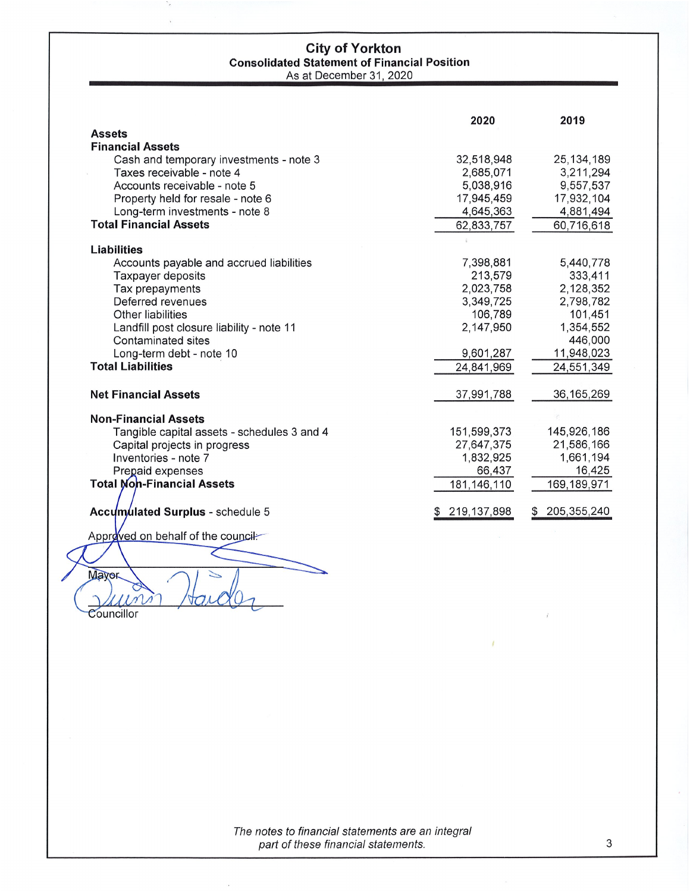# City of Yorkton<br>Consolidated Statement of Financial Position<br>As at December 31, 2020

|                                             | 2020             | 2019         |
|---------------------------------------------|------------------|--------------|
| <b>Assets</b>                               |                  |              |
| <b>Financial Assets</b>                     |                  |              |
| Cash and temporary investments - note 3     | 32,518,948       | 25, 134, 189 |
| Taxes receivable - note 4                   | 2,685,071        | 3,211,294    |
| Accounts receivable - note 5                | 5,038,916        | 9,557,537    |
| Property held for resale - note 6           | 17,945,459       | 17,932,104   |
| Long-term investments - note 8              | 4,645,363        | 4,881,494    |
| <b>Total Financial Assets</b>               | 62,833,757       | 60,716,618   |
| <b>Liabilities</b>                          |                  |              |
| Accounts payable and accrued liabilities    | 7,398,881        | 5,440,778    |
| Taxpayer deposits                           | 213,579          | 333,411      |
| Tax prepayments                             | 2,023,758        | 2,128,352    |
| Deferred revenues                           | 3,349,725        | 2,798,782    |
| Other liabilities                           | 106,789          | 101,451      |
| Landfill post closure liability - note 11   | 2,147,950        | 1,354,552    |
| Contaminated sites                          |                  | 446,000      |
| Long-term debt - note 10                    | 9,601,287        | 11,948,023   |
| <b>Total Liabilities</b>                    | 24,841,969       | 24,551,349   |
| <b>Net Financial Assets</b>                 | 37,991,788       | 36, 165, 269 |
| <b>Non-Financial Assets</b>                 |                  |              |
| Tangible capital assets - schedules 3 and 4 | 151,599,373      | 145,926,186  |
| Capital projects in progress                | 27,647,375       | 21,586,166   |
| Inventories - note 7                        | 1,832,925        | 1,661,194    |
| Prepaid expenses                            | 66,437           | 16,425       |
| <b>Total Non-Financial Assets</b>           | 181, 146, 110    | 169,189,971  |
|                                             |                  |              |
| <b>Accumulated Surplus - schedule 5</b>     | 219,137,898<br>S | 205,355,240  |
| Approved on behalf of the council:          |                  |              |

Mayor  $\searrow$  $\eta_{\mathcal{N}}$ JON Councillor

> The notes to financial statements are an integral part of these financial statements.

 $\bar{t}$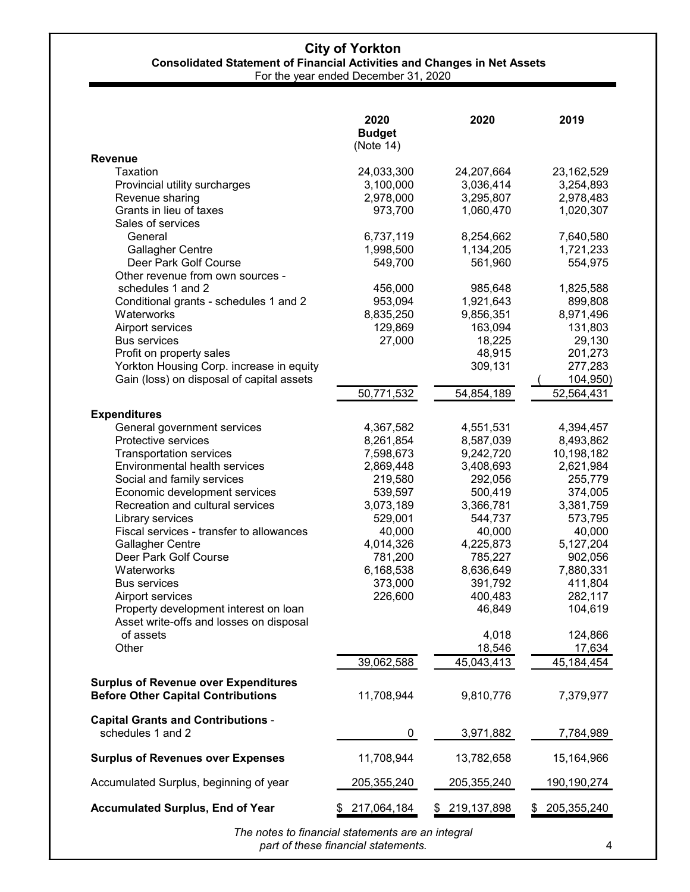#### **City of Yorkton Consolidated Statement of Financial Activities and Changes in Net Assets**

For the year ended December 31, 2020

|                                                                                          | 2020<br><b>Budget</b><br>(Note 14) | 2020        | 2019                |
|------------------------------------------------------------------------------------------|------------------------------------|-------------|---------------------|
| <b>Revenue</b>                                                                           |                                    |             |                     |
| Taxation                                                                                 | 24,033,300                         | 24,207,664  | 23,162,529          |
| Provincial utility surcharges                                                            | 3,100,000                          | 3,036,414   | 3,254,893           |
| Revenue sharing                                                                          | 2,978,000                          | 3,295,807   | 2,978,483           |
| Grants in lieu of taxes                                                                  | 973,700                            | 1,060,470   | 1,020,307           |
| Sales of services                                                                        |                                    |             |                     |
| General                                                                                  | 6,737,119                          | 8,254,662   | 7,640,580           |
| <b>Gallagher Centre</b>                                                                  | 1,998,500                          | 1,134,205   | 1,721,233           |
| Deer Park Golf Course                                                                    | 549,700                            | 561,960     | 554,975             |
| Other revenue from own sources -                                                         |                                    |             |                     |
| schedules 1 and 2                                                                        | 456,000                            | 985,648     | 1,825,588           |
| Conditional grants - schedules 1 and 2                                                   | 953,094                            | 1,921,643   | 899,808             |
| Waterworks                                                                               | 8,835,250                          | 9,856,351   | 8,971,496           |
| Airport services                                                                         | 129,869                            | 163,094     | 131,803             |
| <b>Bus services</b>                                                                      | 27,000                             | 18,225      | 29,130              |
| Profit on property sales                                                                 |                                    | 48,915      | 201,273             |
| Yorkton Housing Corp. increase in equity<br>Gain (loss) on disposal of capital assets    |                                    | 309,131     | 277,283<br>104,950) |
|                                                                                          | 50,771,532                         | 54,854,189  | 52,564,431          |
| <b>Expenditures</b>                                                                      |                                    |             |                     |
| General government services                                                              | 4,367,582                          | 4,551,531   | 4,394,457           |
| Protective services                                                                      | 8,261,854                          | 8,587,039   | 8,493,862           |
| <b>Transportation services</b>                                                           | 7,598,673                          | 9,242,720   | 10,198,182          |
| Environmental health services                                                            | 2,869,448                          | 3,408,693   | 2,621,984           |
| Social and family services                                                               | 219,580                            | 292,056     | 255,779             |
| Economic development services                                                            | 539,597                            | 500,419     | 374,005             |
| Recreation and cultural services                                                         | 3,073,189                          | 3,366,781   | 3,381,759           |
| Library services                                                                         | 529,001                            | 544,737     | 573,795             |
| Fiscal services - transfer to allowances                                                 | 40,000                             | 40,000      | 40,000              |
| <b>Gallagher Centre</b>                                                                  | 4,014,326                          | 4,225,873   | 5,127,204           |
| Deer Park Golf Course                                                                    | 781,200                            | 785,227     | 902,056             |
| Waterworks                                                                               | 6,168,538                          | 8,636,649   | 7,880,331           |
| <b>Bus services</b>                                                                      | 373,000                            | 391,792     | 411,804             |
| Airport services                                                                         | 226,600                            | 400,483     | 282,117             |
| Property development interest on loan<br>Asset write-offs and losses on disposal         |                                    | 46,849      | 104,619             |
| of assets                                                                                |                                    | 4,018       | 124,866             |
| Other                                                                                    |                                    | 18,546      | 17,634              |
|                                                                                          | 39,062,588                         | 45,043,413  | 45,184,454          |
|                                                                                          |                                    |             |                     |
| <b>Surplus of Revenue over Expenditures</b><br><b>Before Other Capital Contributions</b> | 11,708,944                         | 9,810,776   | 7,379,977           |
| <b>Capital Grants and Contributions -</b><br>schedules 1 and 2                           | 0                                  | 3,971,882   | 7,784,989           |
| <b>Surplus of Revenues over Expenses</b>                                                 | 11,708,944                         | 13,782,658  | 15,164,966          |
| Accumulated Surplus, beginning of year                                                   | 205,355,240                        | 205,355,240 | 190,190,274         |
| <b>Accumulated Surplus, End of Year</b>                                                  | 217,064,184                        | 219,137,898 | 205,355,240         |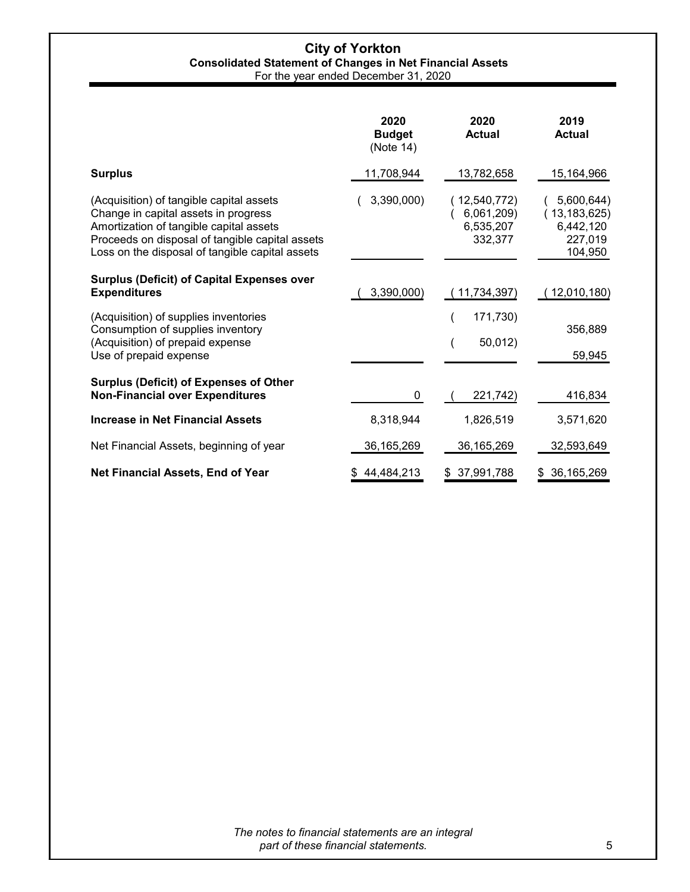#### **City of Yorkton Consolidated Statement of Changes in Net Financial Assets** For the year ended December 31, 2020

|                                                                                                                                                                                                                                   | 2020<br><b>Budget</b><br>(Note 14) | 2020<br><b>Actual</b>                             | 2019<br><b>Actual</b>                                           |
|-----------------------------------------------------------------------------------------------------------------------------------------------------------------------------------------------------------------------------------|------------------------------------|---------------------------------------------------|-----------------------------------------------------------------|
| <b>Surplus</b>                                                                                                                                                                                                                    | 11,708,944                         | 13,782,658                                        | 15,164,966                                                      |
| (Acquisition) of tangible capital assets<br>Change in capital assets in progress<br>Amortization of tangible capital assets<br>Proceeds on disposal of tangible capital assets<br>Loss on the disposal of tangible capital assets | 3,390,000)                         | 12,540,772)<br>6,061,209)<br>6,535,207<br>332,377 | 5,600,644)<br>(13, 183, 625)<br>6,442,120<br>227,019<br>104,950 |
| <b>Surplus (Deficit) of Capital Expenses over</b><br><b>Expenditures</b>                                                                                                                                                          | 3,390,000)                         | (11,734,397)                                      | 12,010,180)                                                     |
| (Acquisition) of supplies inventories<br>Consumption of supplies inventory<br>(Acquisition) of prepaid expense<br>Use of prepaid expense                                                                                          |                                    | 171,730)<br>50,012)                               | 356,889<br>59,945                                               |
| <b>Surplus (Deficit) of Expenses of Other</b><br><b>Non-Financial over Expenditures</b>                                                                                                                                           | $\mathbf{0}$                       | 221,742)                                          | 416,834                                                         |
| <b>Increase in Net Financial Assets</b>                                                                                                                                                                                           | 8,318,944                          | 1,826,519                                         | 3,571,620                                                       |
| Net Financial Assets, beginning of year                                                                                                                                                                                           | 36, 165, 269                       | 36, 165, 269                                      | 32,593,649                                                      |
| Net Financial Assets, End of Year                                                                                                                                                                                                 | \$44,484,213                       | \$37,991,788                                      | 36,165,269<br>\$.                                               |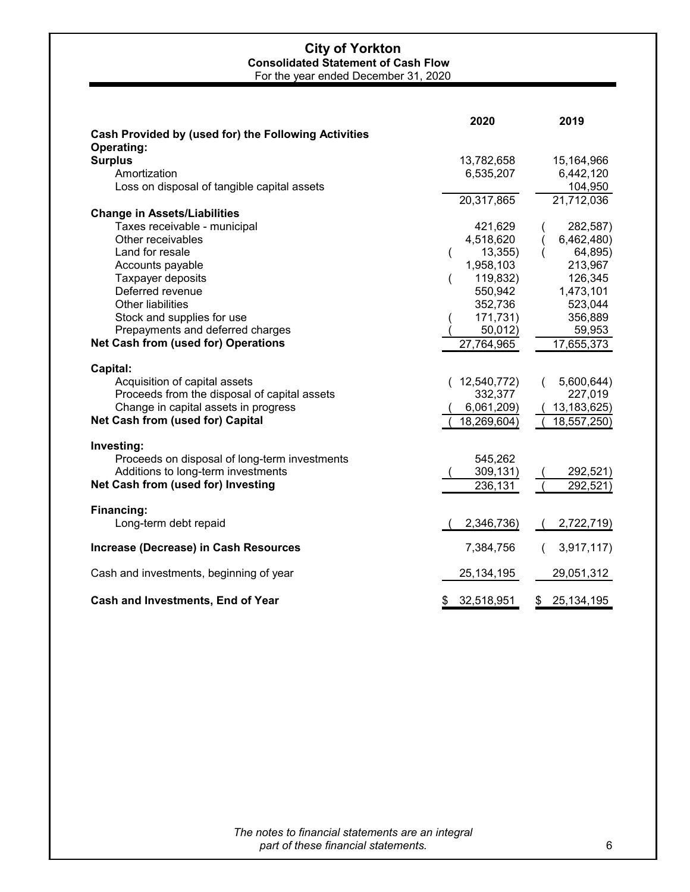## **City of Yorkton**

#### **Consolidated Statement of Cash Flow**

For the year ended December 31, 2020

|                                                                                                                                                                       | 2020                                                | 2019                                                  |
|-----------------------------------------------------------------------------------------------------------------------------------------------------------------------|-----------------------------------------------------|-------------------------------------------------------|
| Cash Provided by (used for) the Following Activities                                                                                                                  |                                                     |                                                       |
| <b>Operating:</b>                                                                                                                                                     |                                                     |                                                       |
| <b>Surplus</b>                                                                                                                                                        | 13,782,658                                          | 15,164,966                                            |
| Amortization                                                                                                                                                          | 6,535,207                                           | 6,442,120                                             |
| Loss on disposal of tangible capital assets                                                                                                                           |                                                     | 104,950                                               |
|                                                                                                                                                                       | 20,317,865                                          | 21,712,036                                            |
| <b>Change in Assets/Liabilities</b>                                                                                                                                   |                                                     |                                                       |
| Taxes receivable - municipal                                                                                                                                          | 421,629                                             | 282,587)                                              |
| Other receivables                                                                                                                                                     | 4,518,620                                           | 6,462,480)                                            |
| Land for resale                                                                                                                                                       | 13,355<br>(                                         | 64,895)                                               |
| Accounts payable                                                                                                                                                      | 1,958,103                                           | 213,967                                               |
| Taxpayer deposits                                                                                                                                                     | 119,832)<br>$\left($                                | 126,345                                               |
| Deferred revenue                                                                                                                                                      | 550,942                                             | 1,473,101                                             |
| Other liabilities                                                                                                                                                     | 352,736                                             | 523,044                                               |
| Stock and supplies for use                                                                                                                                            | 171,731)                                            | 356,889                                               |
| Prepayments and deferred charges                                                                                                                                      | 50,012)                                             | 59,953                                                |
| <b>Net Cash from (used for) Operations</b>                                                                                                                            | 27,764,965                                          | 17,655,373                                            |
| Capital:<br>Acquisition of capital assets<br>Proceeds from the disposal of capital assets<br>Change in capital assets in progress<br>Net Cash from (used for) Capital | 12,540,772)<br>332,377<br>6,061,209)<br>18,269,604) | 5,600,644)<br>227,019<br>13, 183, 625)<br>18,557,250) |
| Investing:<br>Proceeds on disposal of long-term investments<br>Additions to long-term investments<br>Net Cash from (used for) Investing                               | 545,262<br>309,131)<br>236,131                      | 292,521)<br>292,521)                                  |
| Financing:<br>Long-term debt repaid                                                                                                                                   | 2,346,736)                                          | 2,722,719)                                            |
| Increase (Decrease) in Cash Resources                                                                                                                                 | 7,384,756                                           | 3,917,117)                                            |
| Cash and investments, beginning of year                                                                                                                               | 25, 134, 195                                        | 29,051,312                                            |
| Cash and Investments, End of Year                                                                                                                                     | 32,518,951<br>\$                                    | 25, 134, 195<br>\$                                    |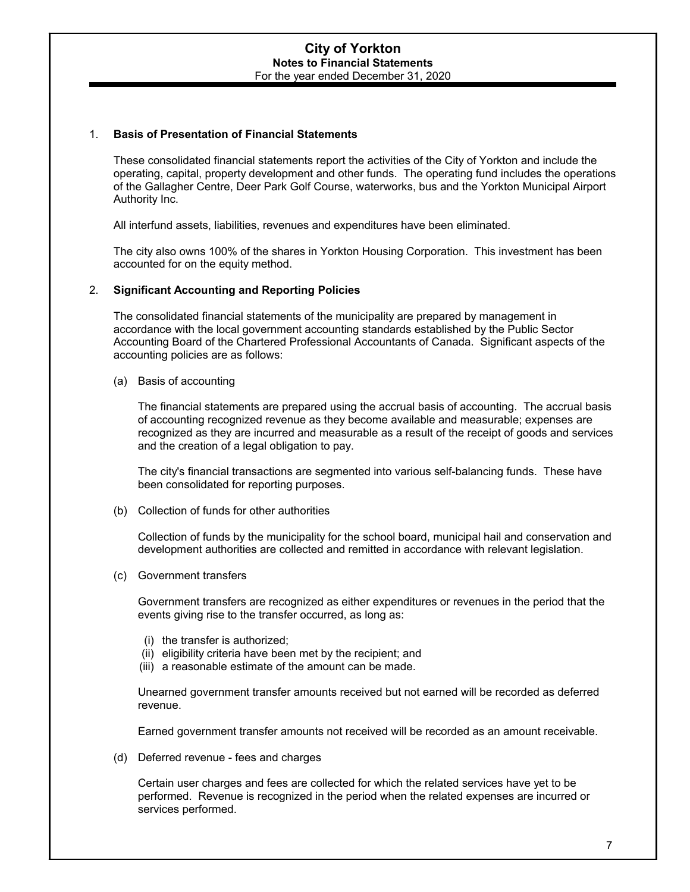#### 1. **Basis of Presentation of Financial Statements**

These consolidated financial statements report the activities of the City of Yorkton and include the operating, capital, property development and other funds. The operating fund includes the operations of the Gallagher Centre, Deer Park Golf Course, waterworks, bus and the Yorkton Municipal Airport Authority Inc.

All interfund assets, liabilities, revenues and expenditures have been eliminated.

The city also owns 100% of the shares in Yorkton Housing Corporation. This investment has been accounted for on the equity method.

#### 2. **Significant Accounting and Reporting Policies**

The consolidated financial statements of the municipality are prepared by management in accordance with the local government accounting standards established by the Public Sector Accounting Board of the Chartered Professional Accountants of Canada. Significant aspects of the accounting policies are as follows:

(a) Basis of accounting

The financial statements are prepared using the accrual basis of accounting. The accrual basis of accounting recognized revenue as they become available and measurable; expenses are recognized as they are incurred and measurable as a result of the receipt of goods and services and the creation of a legal obligation to pay.

The city's financial transactions are segmented into various self-balancing funds. These have been consolidated for reporting purposes.

(b) Collection of funds for other authorities

Collection of funds by the municipality for the school board, municipal hail and conservation and development authorities are collected and remitted in accordance with relevant legislation.

(c) Government transfers

Government transfers are recognized as either expenditures or revenues in the period that the events giving rise to the transfer occurred, as long as:

- (i) the transfer is authorized;
- (ii) eligibility criteria have been met by the recipient; and
- (iii) a reasonable estimate of the amount can be made.

Unearned government transfer amounts received but not earned will be recorded as deferred revenue.

Earned government transfer amounts not received will be recorded as an amount receivable.

(d) Deferred revenue - fees and charges

Certain user charges and fees are collected for which the related services have yet to be performed. Revenue is recognized in the period when the related expenses are incurred or services performed.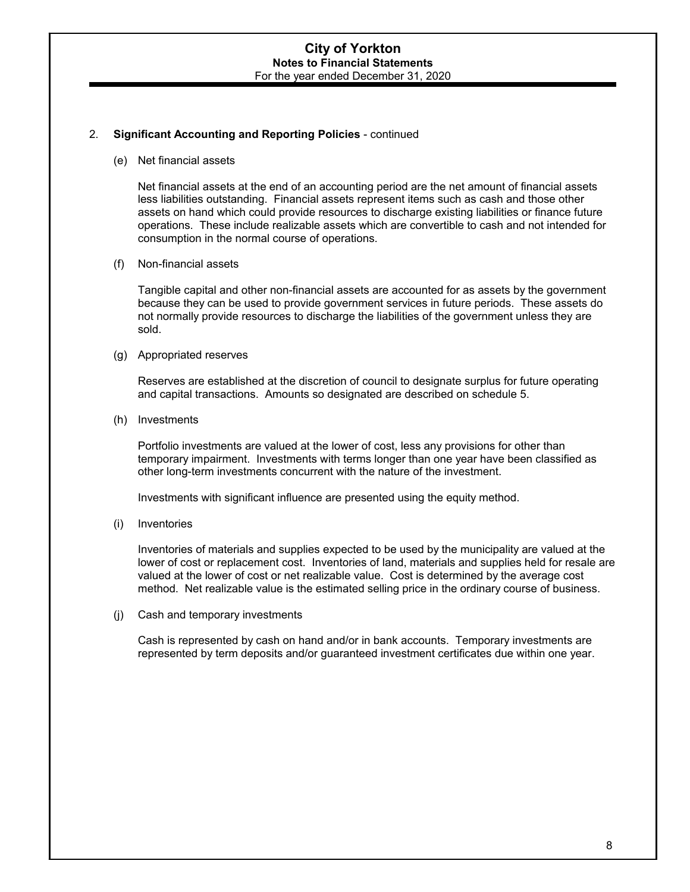#### 2. **Significant Accounting and Reporting Policies** - continued

(e) Net financial assets

Net financial assets at the end of an accounting period are the net amount of financial assets less liabilities outstanding. Financial assets represent items such as cash and those other assets on hand which could provide resources to discharge existing liabilities or finance future operations. These include realizable assets which are convertible to cash and not intended for consumption in the normal course of operations.

(f) Non-financial assets

Tangible capital and other non-financial assets are accounted for as assets by the government because they can be used to provide government services in future periods. These assets do not normally provide resources to discharge the liabilities of the government unless they are sold.

(g) Appropriated reserves

Reserves are established at the discretion of council to designate surplus for future operating and capital transactions. Amounts so designated are described on schedule 5.

(h) Investments

Portfolio investments are valued at the lower of cost, less any provisions for other than temporary impairment. Investments with terms longer than one year have been classified as other long-term investments concurrent with the nature of the investment.

Investments with significant influence are presented using the equity method.

(i) Inventories

Inventories of materials and supplies expected to be used by the municipality are valued at the lower of cost or replacement cost. Inventories of land, materials and supplies held for resale are valued at the lower of cost or net realizable value. Cost is determined by the average cost method. Net realizable value is the estimated selling price in the ordinary course of business.

(j) Cash and temporary investments

Cash is represented by cash on hand and/or in bank accounts. Temporary investments are represented by term deposits and/or guaranteed investment certificates due within one year.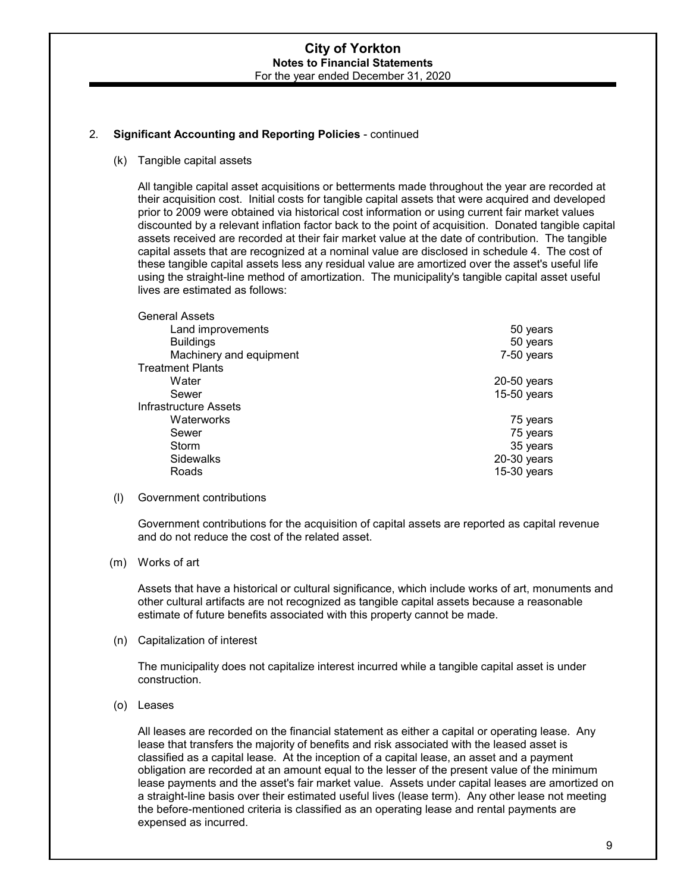#### 2. **Significant Accounting and Reporting Policies** - continued

#### (k) Tangible capital assets

All tangible capital asset acquisitions or betterments made throughout the year are recorded at their acquisition cost. Initial costs for tangible capital assets that were acquired and developed prior to 2009 were obtained via historical cost information or using current fair market values discounted by a relevant inflation factor back to the point of acquisition. Donated tangible capital assets received are recorded at their fair market value at the date of contribution. The tangible capital assets that are recognized at a nominal value are disclosed in schedule 4. The cost of these tangible capital assets less any residual value are amortized over the asset's useful life using the straight-line method of amortization. The municipality's tangible capital asset useful lives are estimated as follows:

| <b>General Assets</b>   |               |
|-------------------------|---------------|
| Land improvements       | 50 years      |
| <b>Buildings</b>        | 50 years      |
| Machinery and equipment | 7-50 years    |
| <b>Treatment Plants</b> |               |
| Water                   | 20-50 years   |
| Sewer                   | $15-50$ years |
| Infrastructure Assets   |               |
| Waterworks              | 75 years      |
| Sewer                   | 75 years      |
| Storm                   | 35 years      |
| <b>Sidewalks</b>        | $20-30$ years |
| Roads                   | $15-30$ years |
|                         |               |

#### (l) Government contributions

Government contributions for the acquisition of capital assets are reported as capital revenue and do not reduce the cost of the related asset.

#### (m) Works of art

Assets that have a historical or cultural significance, which include works of art, monuments and other cultural artifacts are not recognized as tangible capital assets because a reasonable estimate of future benefits associated with this property cannot be made.

#### (n) Capitalization of interest

The municipality does not capitalize interest incurred while a tangible capital asset is under construction.

(o) Leases

All leases are recorded on the financial statement as either a capital or operating lease. Any lease that transfers the majority of benefits and risk associated with the leased asset is classified as a capital lease. At the inception of a capital lease, an asset and a payment obligation are recorded at an amount equal to the lesser of the present value of the minimum lease payments and the asset's fair market value. Assets under capital leases are amortized on a straight-line basis over their estimated useful lives (lease term). Any other lease not meeting the before-mentioned criteria is classified as an operating lease and rental payments are expensed as incurred.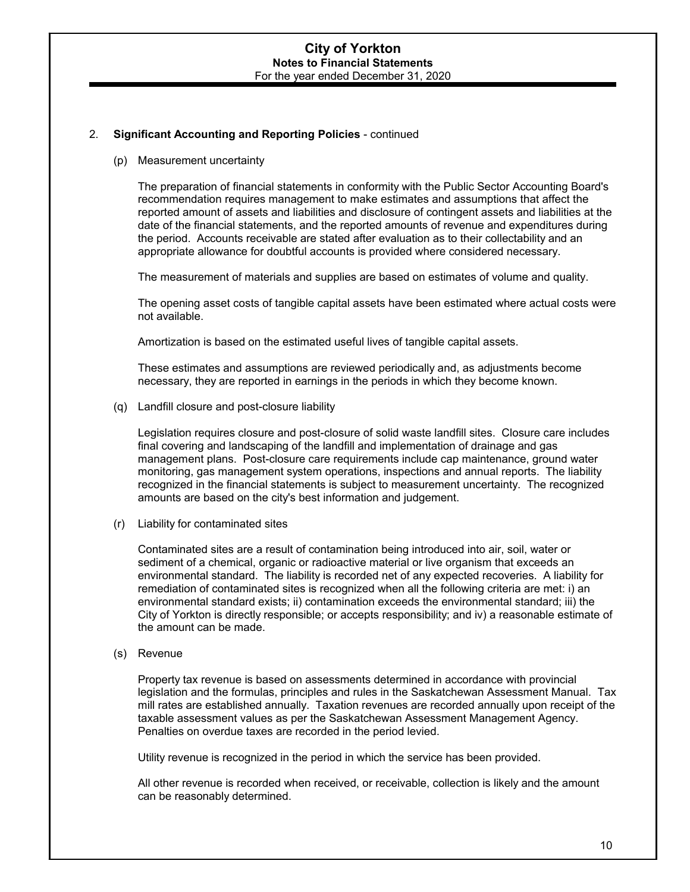#### 2. **Significant Accounting and Reporting Policies** - continued

#### (p) Measurement uncertainty

The preparation of financial statements in conformity with the Public Sector Accounting Board's recommendation requires management to make estimates and assumptions that affect the reported amount of assets and liabilities and disclosure of contingent assets and liabilities at the date of the financial statements, and the reported amounts of revenue and expenditures during the period. Accounts receivable are stated after evaluation as to their collectability and an appropriate allowance for doubtful accounts is provided where considered necessary.

The measurement of materials and supplies are based on estimates of volume and quality.

The opening asset costs of tangible capital assets have been estimated where actual costs were not available.

Amortization is based on the estimated useful lives of tangible capital assets.

These estimates and assumptions are reviewed periodically and, as adjustments become necessary, they are reported in earnings in the periods in which they become known.

(q) Landfill closure and post-closure liability

Legislation requires closure and post-closure of solid waste landfill sites. Closure care includes final covering and landscaping of the landfill and implementation of drainage and gas management plans. Post-closure care requirements include cap maintenance, ground water monitoring, gas management system operations, inspections and annual reports. The liability recognized in the financial statements is subject to measurement uncertainty. The recognized amounts are based on the city's best information and judgement.

(r) Liability for contaminated sites

Contaminated sites are a result of contamination being introduced into air, soil, water or sediment of a chemical, organic or radioactive material or live organism that exceeds an environmental standard. The liability is recorded net of any expected recoveries. A liability for remediation of contaminated sites is recognized when all the following criteria are met: i) an environmental standard exists; ii) contamination exceeds the environmental standard; iii) the City of Yorkton is directly responsible; or accepts responsibility; and iv) a reasonable estimate of the amount can be made.

(s) Revenue

Property tax revenue is based on assessments determined in accordance with provincial legislation and the formulas, principles and rules in the Saskatchewan Assessment Manual. Tax mill rates are established annually. Taxation revenues are recorded annually upon receipt of the taxable assessment values as per the Saskatchewan Assessment Management Agency. Penalties on overdue taxes are recorded in the period levied.

Utility revenue is recognized in the period in which the service has been provided.

All other revenue is recorded when received, or receivable, collection is likely and the amount can be reasonably determined.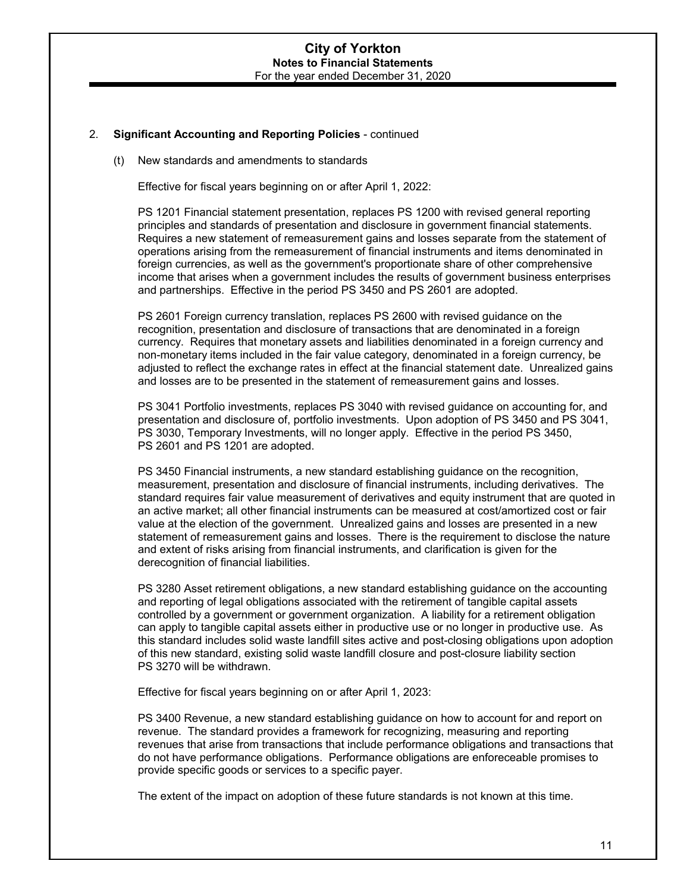#### 2. **Significant Accounting and Reporting Policies** - continued

(t) New standards and amendments to standards

Effective for fiscal years beginning on or after April 1, 2022:

PS 1201 Financial statement presentation, replaces PS 1200 with revised general reporting principles and standards of presentation and disclosure in government financial statements. Requires a new statement of remeasurement gains and losses separate from the statement of operations arising from the remeasurement of financial instruments and items denominated in foreign currencies, as well as the government's proportionate share of other comprehensive income that arises when a government includes the results of government business enterprises and partnerships. Effective in the period PS 3450 and PS 2601 are adopted.

PS 2601 Foreign currency translation, replaces PS 2600 with revised guidance on the recognition, presentation and disclosure of transactions that are denominated in a foreign currency. Requires that monetary assets and liabilities denominated in a foreign currency and non-monetary items included in the fair value category, denominated in a foreign currency, be adjusted to reflect the exchange rates in effect at the financial statement date. Unrealized gains and losses are to be presented in the statement of remeasurement gains and losses.

PS 3041 Portfolio investments, replaces PS 3040 with revised guidance on accounting for, and presentation and disclosure of, portfolio investments. Upon adoption of PS 3450 and PS 3041, PS 3030, Temporary Investments, will no longer apply. Effective in the period PS 3450, PS 2601 and PS 1201 are adopted.

PS 3450 Financial instruments, a new standard establishing guidance on the recognition, measurement, presentation and disclosure of financial instruments, including derivatives. The standard requires fair value measurement of derivatives and equity instrument that are quoted in an active market; all other financial instruments can be measured at cost/amortized cost or fair value at the election of the government. Unrealized gains and losses are presented in a new statement of remeasurement gains and losses. There is the requirement to disclose the nature and extent of risks arising from financial instruments, and clarification is given for the derecognition of financial liabilities.

PS 3280 Asset retirement obligations, a new standard establishing guidance on the accounting and reporting of legal obligations associated with the retirement of tangible capital assets controlled by a government or government organization. A liability for a retirement obligation can apply to tangible capital assets either in productive use or no longer in productive use. As this standard includes solid waste landfill sites active and post-closing obligations upon adoption of this new standard, existing solid waste landfill closure and post-closure liability section PS 3270 will be withdrawn.

Effective for fiscal years beginning on or after April 1, 2023:

PS 3400 Revenue, a new standard establishing guidance on how to account for and report on revenue. The standard provides a framework for recognizing, measuring and reporting revenues that arise from transactions that include performance obligations and transactions that do not have performance obligations. Performance obligations are enforeceable promises to provide specific goods or services to a specific payer.

The extent of the impact on adoption of these future standards is not known at this time.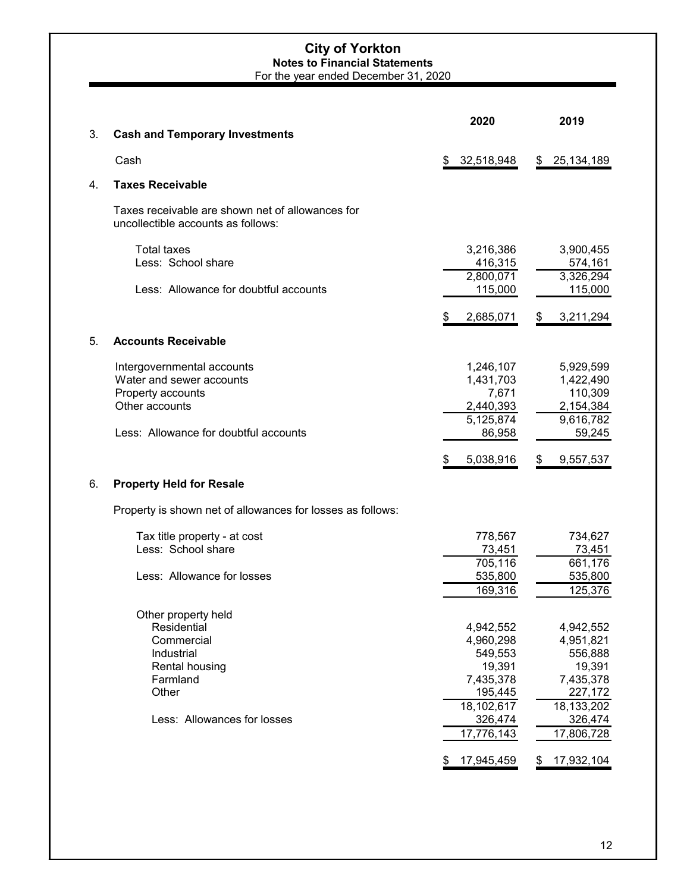## **City of Yorkton**

**Notes to Financial Statements**

For the year ended December 31, 2020

|    |                                                                                                                                        |    | 2020                                                                                                       | 2019                                                                                                       |
|----|----------------------------------------------------------------------------------------------------------------------------------------|----|------------------------------------------------------------------------------------------------------------|------------------------------------------------------------------------------------------------------------|
| 3. | <b>Cash and Temporary Investments</b>                                                                                                  |    |                                                                                                            |                                                                                                            |
|    | Cash                                                                                                                                   | \$ | 32,518,948                                                                                                 | \$<br>25,134,189                                                                                           |
| 4. | <b>Taxes Receivable</b>                                                                                                                |    |                                                                                                            |                                                                                                            |
|    | Taxes receivable are shown net of allowances for<br>uncollectible accounts as follows:                                                 |    |                                                                                                            |                                                                                                            |
|    | <b>Total taxes</b><br>Less: School share<br>Less: Allowance for doubtful accounts                                                      |    | 3,216,386<br>416,315<br>2,800,071<br>115,000                                                               | 3,900,455<br>574,161<br>3,326,294<br>115,000                                                               |
|    |                                                                                                                                        | S  | 2,685,071                                                                                                  | \$<br>3,211,294                                                                                            |
| 5. | <b>Accounts Receivable</b>                                                                                                             |    |                                                                                                            |                                                                                                            |
|    | Intergovernmental accounts<br>Water and sewer accounts<br>Property accounts<br>Other accounts<br>Less: Allowance for doubtful accounts |    | 1,246,107<br>1,431,703<br>7,671<br>2,440,393<br>5,125,874<br>86,958                                        | 5,929,599<br>1,422,490<br>110,309<br>2,154,384<br>9,616,782<br>59,245                                      |
|    |                                                                                                                                        |    | 5,038,916                                                                                                  | \$<br>9,557,537                                                                                            |
| 6. | <b>Property Held for Resale</b>                                                                                                        |    |                                                                                                            |                                                                                                            |
|    | Property is shown net of allowances for losses as follows:                                                                             |    |                                                                                                            |                                                                                                            |
|    | Tax title property - at cost<br>Less: School share<br>Less: Allowance for losses                                                       |    | 778,567<br>73,451<br>705,116<br>535,800                                                                    | 734,627<br>73,451<br>661,176<br>535,800                                                                    |
|    |                                                                                                                                        |    | 169,316                                                                                                    | 125,376                                                                                                    |
|    | Other property held<br>Residential<br>Commercial<br>Industrial<br>Rental housing<br>Farmland<br>Other<br>Less: Allowances for losses   |    | 4,942,552<br>4,960,298<br>549,553<br>19,391<br>7,435,378<br>195,445<br>18,102,617<br>326,474<br>17,776,143 | 4,942,552<br>4,951,821<br>556,888<br>19,391<br>7,435,378<br>227,172<br>18,133,202<br>326,474<br>17,806,728 |
|    |                                                                                                                                        | \$ | 17,945,459                                                                                                 | \$<br>17,932,104                                                                                           |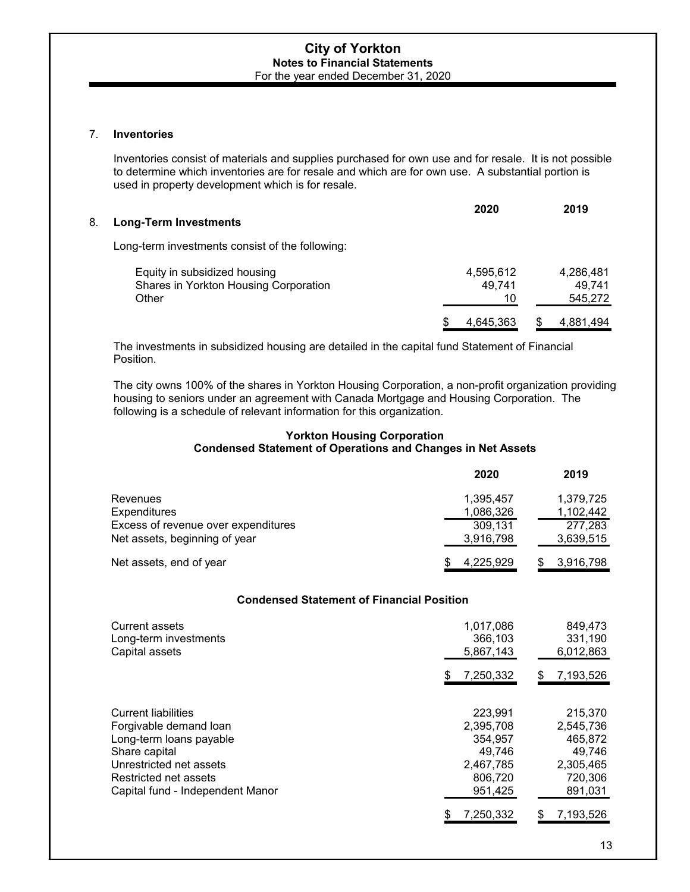#### 7. **Inventories**

Inventories consist of materials and supplies purchased for own use and for resale. It is not possible to determine which inventories are for resale and which are for own use. A substantial portion is used in property development which is for resale.

|    |                                                                       | 2020                | 2019                |
|----|-----------------------------------------------------------------------|---------------------|---------------------|
| 8. | <b>Long-Term Investments</b>                                          |                     |                     |
|    | Long-term investments consist of the following:                       |                     |                     |
|    | Equity in subsidized housing<br>Shares in Yorkton Housing Corporation | 4,595,612<br>49,741 | 4,286,481<br>49,741 |
|    | Other                                                                 | 10                  | 545,272             |
|    |                                                                       | 4,645,363           | 4,881,494           |

The investments in subsidized housing are detailed in the capital fund Statement of Financial Position.

The city owns 100% of the shares in Yorkton Housing Corporation, a non-profit organization providing housing to seniors under an agreement with Canada Mortgage and Housing Corporation. The following is a schedule of relevant information for this organization.

#### **Yorkton Housing Corporation Condensed Statement of Operations and Changes in Net Assets**

|                                     | 2020      | 2019      |
|-------------------------------------|-----------|-----------|
| Revenues                            | 1,395,457 | 1,379,725 |
| Expenditures                        | 1,086,326 | 1,102,442 |
| Excess of revenue over expenditures | 309.131   | 277.283   |
| Net assets, beginning of year       | 3,916,798 | 3,639,515 |
| Net assets, end of year             | 4,225,929 | 3,916,798 |

#### **Condensed Statement of Financial Position**

| <b>Current assets</b><br>Long-term investments<br>Capital assets | 1,017,086<br>366,103<br>5,867,143 | 849,473<br>331,190<br>6,012,863 |
|------------------------------------------------------------------|-----------------------------------|---------------------------------|
|                                                                  | 7,250,332<br>\$                   | 7,193,526<br>\$                 |
|                                                                  |                                   |                                 |
| <b>Current liabilities</b>                                       | 223,991                           | 215,370                         |
| Forgivable demand loan                                           | 2,395,708                         | 2,545,736                       |
| Long-term loans payable                                          | 354.957                           | 465,872                         |
| Share capital                                                    | 49.746                            | 49,746                          |
| Unrestricted net assets                                          | 2,467,785                         | 2,305,465                       |
| Restricted net assets                                            | 806,720                           | 720,306                         |
| Capital fund - Independent Manor                                 | 951,425                           | 891,031                         |
|                                                                  | 7.250.332<br>\$                   | 7.193.526<br>S                  |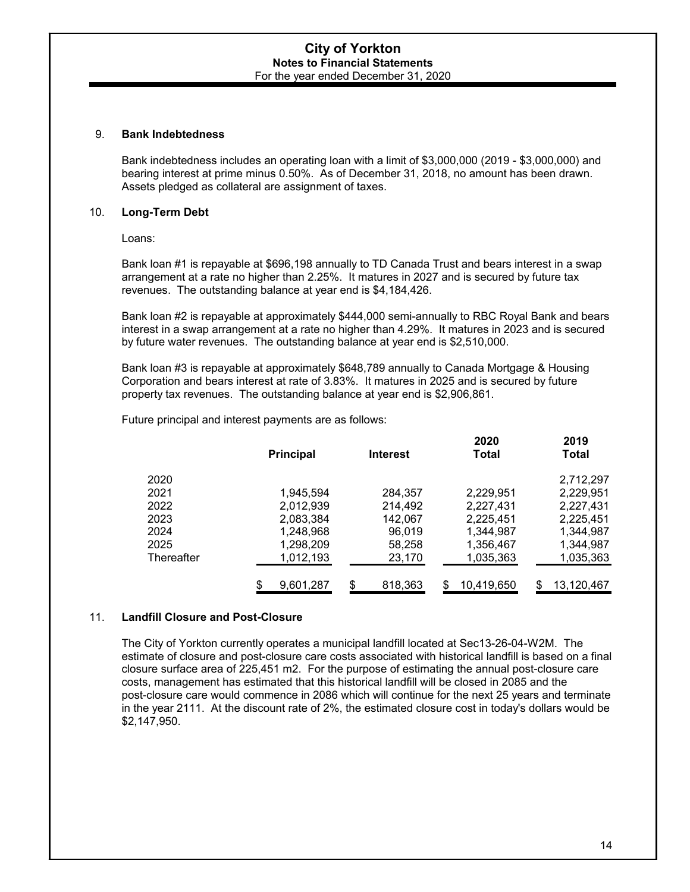#### 9. **Bank Indebtedness**

Bank indebtedness includes an operating loan with a limit of \$3,000,000 (2019 - \$3,000,000) and bearing interest at prime minus 0.50%. As of December 31, 2018, no amount has been drawn. Assets pledged as collateral are assignment of taxes.

#### 10. **Long-Term Debt**

Loans:

Bank loan #1 is repayable at \$696,198 annually to TD Canada Trust and bears interest in a swap arrangement at a rate no higher than 2.25%. It matures in 2027 and is secured by future tax revenues. The outstanding balance at year end is \$4,184,426.

Bank loan #2 is repayable at approximately \$444,000 semi-annually to RBC Royal Bank and bears interest in a swap arrangement at a rate no higher than 4.29%. It matures in 2023 and is secured by future water revenues. The outstanding balance at year end is \$2,510,000.

Bank loan #3 is repayable at approximately \$648,789 annually to Canada Mortgage & Housing Corporation and bears interest at rate of 3.83%. It matures in 2025 and is secured by future property tax revenues. The outstanding balance at year end is \$2,906,861.

Future principal and interest payments are as follows:

|            | <b>Principal</b> | <b>Interest</b> | 2020<br><b>Total</b> | 2019<br>Total |
|------------|------------------|-----------------|----------------------|---------------|
| 2020       |                  |                 |                      | 2,712,297     |
| 2021       | 1,945,594        | 284,357         | 2,229,951            | 2,229,951     |
| 2022       | 2,012,939        | 214,492         | 2,227,431            | 2,227,431     |
| 2023       | 2,083,384        | 142.067         | 2,225,451            | 2,225,451     |
| 2024       | 1,248,968        | 96,019          | 1,344,987            | 1,344,987     |
| 2025       | 1,298,209        | 58,258          | 1,356,467            | 1,344,987     |
| Thereafter | 1,012,193        | 23,170          | 1,035,363            | 1,035,363     |
|            |                  |                 |                      |               |
|            | \$<br>9,601,287  | \$<br>818,363   | 10,419,650<br>\$     | 13,120,467    |

#### 11. **Landfill Closure and Post-Closure**

The City of Yorkton currently operates a municipal landfill located at Sec13-26-04-W2M. The estimate of closure and post-closure care costs associated with historical landfill is based on a final closure surface area of 225,451 m2. For the purpose of estimating the annual post-closure care costs, management has estimated that this historical landfill will be closed in 2085 and the post-closure care would commence in 2086 which will continue for the next 25 years and terminate in the year 2111. At the discount rate of 2%, the estimated closure cost in today's dollars would be \$2,147,950.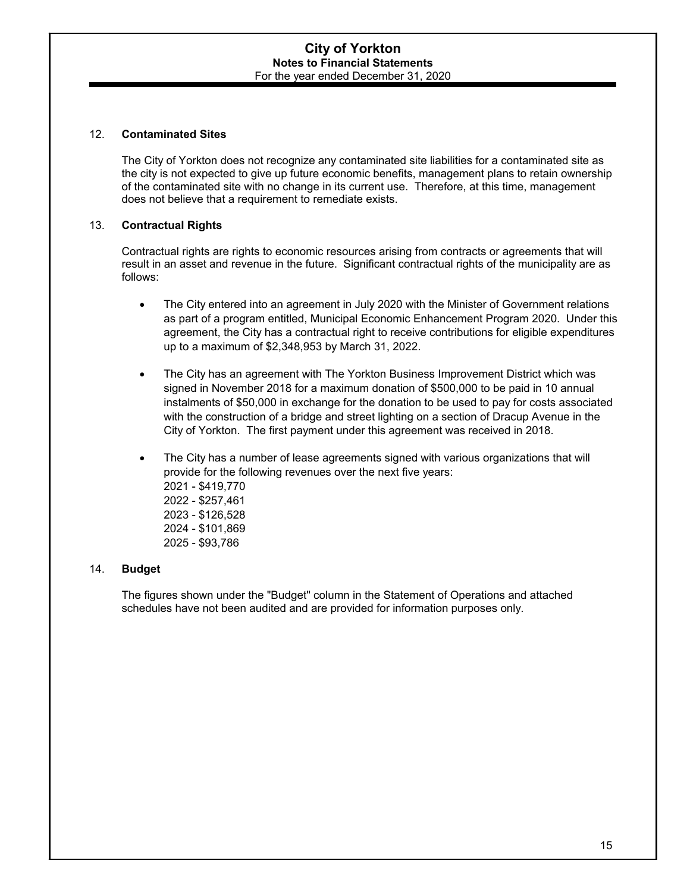#### 12. **Contaminated Sites**

The City of Yorkton does not recognize any contaminated site liabilities for a contaminated site as the city is not expected to give up future economic benefits, management plans to retain ownership of the contaminated site with no change in its current use. Therefore, at this time, management does not believe that a requirement to remediate exists.

#### 13. **Contractual Rights**

Contractual rights are rights to economic resources arising from contracts or agreements that will result in an asset and revenue in the future. Significant contractual rights of the municipality are as follows:

- The City entered into an agreement in July 2020 with the Minister of Government relations as part of a program entitled, Municipal Economic Enhancement Program 2020. Under this agreement, the City has a contractual right to receive contributions for eligible expenditures up to a maximum of \$2,348,953 by March 31, 2022.
- The City has an agreement with The Yorkton Business Improvement District which was signed in November 2018 for a maximum donation of \$500,000 to be paid in 10 annual instalments of \$50,000 in exchange for the donation to be used to pay for costs associated with the construction of a bridge and street lighting on a section of Dracup Avenue in the City of Yorkton. The first payment under this agreement was received in 2018.
- The City has a number of lease agreements signed with various organizations that will provide for the following revenues over the next five years: 2021 - \$419,770 2022 - \$257,461 2023 - \$126,528 2024 - \$101,869 2025 - \$93,786

#### 14. **Budget**

The figures shown under the "Budget" column in the Statement of Operations and attached schedules have not been audited and are provided for information purposes only.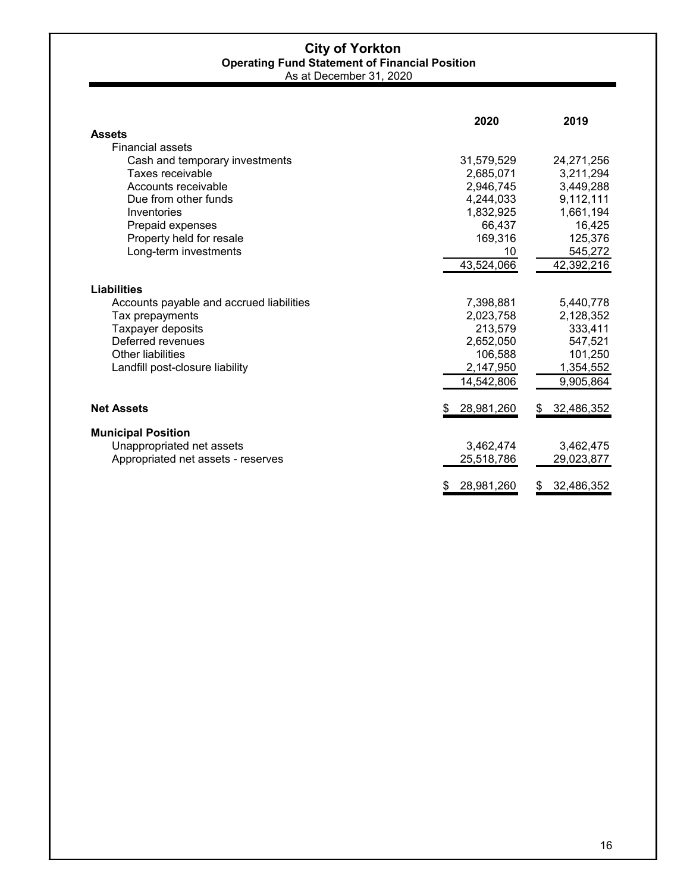## **City of Yorkton Operating Fund Statement of Financial Position**

As at December 31, 2020

|                                          | 2020             | 2019             |
|------------------------------------------|------------------|------------------|
| <b>Assets</b>                            |                  |                  |
| <b>Financial assets</b>                  |                  |                  |
| Cash and temporary investments           | 31,579,529       | 24,271,256       |
| Taxes receivable                         | 2,685,071        | 3,211,294        |
| Accounts receivable                      | 2,946,745        | 3,449,288        |
| Due from other funds                     | 4,244,033        | 9,112,111        |
| Inventories                              | 1,832,925        | 1,661,194        |
| Prepaid expenses                         | 66,437           | 16,425           |
| Property held for resale                 | 169,316          | 125,376          |
| Long-term investments                    | 10               | 545,272          |
|                                          | 43,524,066       | 42,392,216       |
| Liabilities                              |                  |                  |
| Accounts payable and accrued liabilities | 7,398,881        | 5,440,778        |
| Tax prepayments                          | 2,023,758        | 2,128,352        |
| Taxpayer deposits                        | 213,579          | 333,411          |
| Deferred revenues                        | 2,652,050        | 547,521          |
| Other liabilities                        | 106,588          | 101,250          |
| Landfill post-closure liability          | 2,147,950        | 1,354,552        |
|                                          | 14,542,806       | 9,905,864        |
|                                          |                  |                  |
| <b>Net Assets</b>                        | 28,981,260<br>S  | 32,486,352<br>\$ |
| <b>Municipal Position</b>                |                  |                  |
| Unappropriated net assets                | 3,462,474        | 3,462,475        |
| Appropriated net assets - reserves       | 25,518,786       | 29,023,877       |
|                                          |                  |                  |
|                                          | 28,981,260<br>\$ | 32,486,352<br>\$ |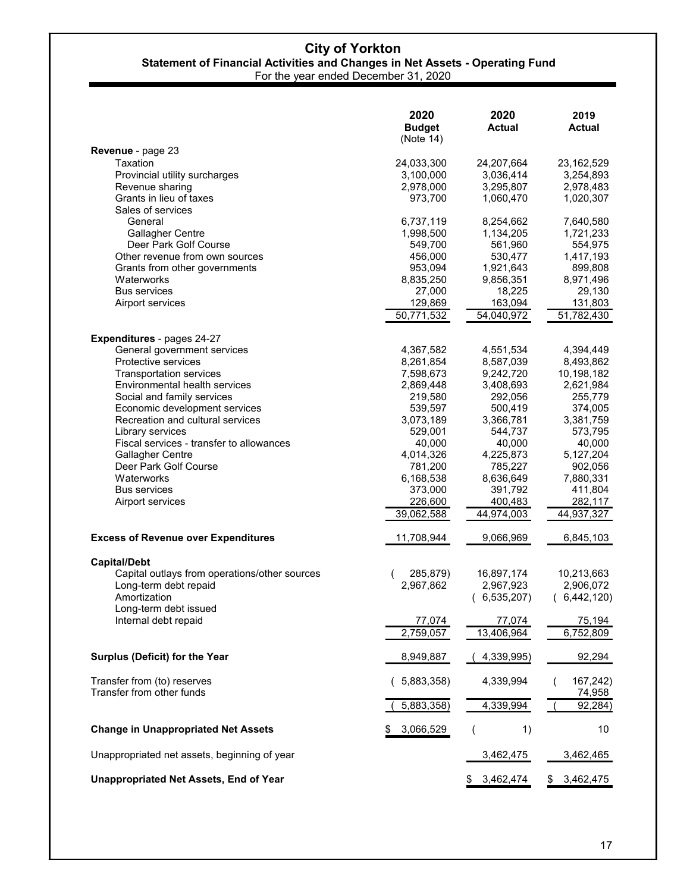## **City of Yorkton Statement of Financial Activities and Changes in Net Assets - Operating Fund**

For the year ended December 31, 2020

|                                                           | 2020<br><b>Budget</b><br>(Note 14) | 2020<br><b>Actual</b> | 2019<br><b>Actual</b> |
|-----------------------------------------------------------|------------------------------------|-----------------------|-----------------------|
| Revenue - page 23                                         |                                    |                       |                       |
| Taxation                                                  | 24,033,300                         | 24,207,664            | 23,162,529            |
| Provincial utility surcharges                             | 3,100,000                          | 3,036,414             | 3,254,893             |
| Revenue sharing                                           | 2,978,000                          | 3,295,807             | 2,978,483             |
| Grants in lieu of taxes                                   | 973,700                            | 1,060,470             | 1,020,307             |
| Sales of services                                         |                                    |                       |                       |
| General                                                   | 6,737,119                          | 8,254,662             | 7,640,580             |
| <b>Gallagher Centre</b>                                   | 1,998,500                          | 1,134,205             | 1,721,233             |
| Deer Park Golf Course                                     | 549,700                            | 561,960               | 554,975               |
| Other revenue from own sources                            | 456,000                            | 530,477               | 1,417,193             |
| Grants from other governments                             | 953,094                            | 1,921,643             | 899,808               |
| Waterworks                                                | 8,835,250                          | 9,856,351             | 8,971,496             |
| <b>Bus services</b>                                       | 27,000                             | 18,225                | 29,130                |
| Airport services                                          | 129,869<br>50,771,532              | 163,094<br>54,040,972 | 131,803<br>51,782,430 |
|                                                           |                                    |                       |                       |
| Expenditures - pages 24-27<br>General government services | 4,367,582                          | 4,551,534             | 4,394,449             |
| Protective services                                       | 8,261,854                          | 8,587,039             | 8,493,862             |
| <b>Transportation services</b>                            | 7,598,673                          | 9,242,720             | 10,198,182            |
| Environmental health services                             | 2,869,448                          | 3,408,693             | 2,621,984             |
| Social and family services                                | 219,580                            | 292,056               | 255,779               |
| Economic development services                             | 539,597                            | 500,419               | 374,005               |
| Recreation and cultural services                          | 3,073,189                          | 3,366,781             | 3,381,759             |
| Library services                                          | 529,001                            | 544,737               | 573,795               |
| Fiscal services - transfer to allowances                  | 40,000                             | 40,000                | 40,000                |
| <b>Gallagher Centre</b>                                   | 4,014,326                          | 4,225,873             | 5,127,204             |
| Deer Park Golf Course                                     | 781,200                            | 785,227               | 902,056               |
| Waterworks                                                | 6,168,538                          | 8,636,649             | 7,880,331             |
| <b>Bus services</b>                                       | 373,000                            | 391,792               | 411,804               |
| Airport services                                          | 226,600                            | 400,483               | 282,117               |
|                                                           | 39,062,588                         | 44,974,003            | 44,937,327            |
| <b>Excess of Revenue over Expenditures</b>                | 11,708,944                         | 9,066,969             | 6,845,103             |
| <b>Capital/Debt</b>                                       |                                    |                       |                       |
| Capital outlays from operations/other sources             | 285,879)                           | 16,897,174            | 10,213,663            |
| Long-term debt repaid                                     | 2,967,862                          | 2,967,923             | 2,906,072             |
| Amortization                                              |                                    | (6, 535, 207)         | (6,442,120)           |
| Long-term debt issued<br>Internal debt repaid             | 77,074                             | 77,074                | 75,194                |
|                                                           | 2,759,057                          | 13,406,964            | 6,752,809             |
| Surplus (Deficit) for the Year                            | 8,949,887                          | 4,339,995)            | 92,294                |
| Transfer from (to) reserves<br>Transfer from other funds  | 5,883,358)                         | 4,339,994             | 167,242)<br>74,958    |
|                                                           | 5,883,358)                         | 4,339,994             | 92,284)               |
| <b>Change in Unappropriated Net Assets</b>                | 3,066,529<br>\$                    | 1)                    | 10                    |
| Unappropriated net assets, beginning of year              |                                    | 3,462,475             | 3,462,465             |
| <b>Unappropriated Net Assets, End of Year</b>             |                                    | 3,462,474<br>\$       | 3,462,475<br>\$       |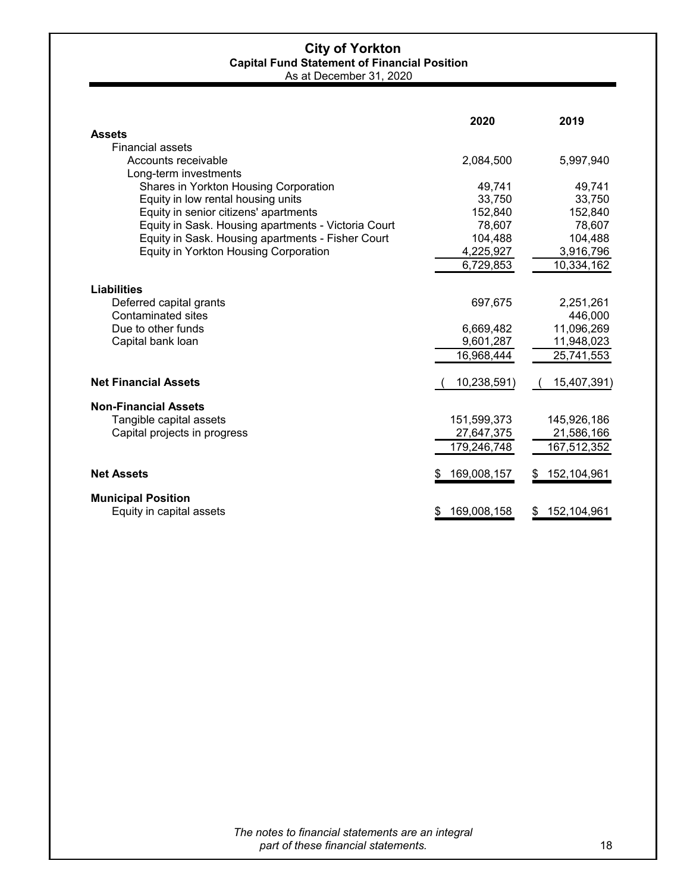## **City of Yorkton Capital Fund Statement of Financial Position**

As at December 31, 2020

|                                                     | 2020              | 2019              |
|-----------------------------------------------------|-------------------|-------------------|
| <b>Assets</b>                                       |                   |                   |
| <b>Financial assets</b>                             |                   |                   |
| Accounts receivable                                 | 2,084,500         | 5,997,940         |
| Long-term investments                               |                   |                   |
| Shares in Yorkton Housing Corporation               | 49,741            | 49,741            |
| Equity in low rental housing units                  | 33,750            | 33,750            |
| Equity in senior citizens' apartments               | 152,840           | 152,840           |
| Equity in Sask. Housing apartments - Victoria Court | 78,607            | 78,607            |
| Equity in Sask. Housing apartments - Fisher Court   | 104,488           | 104,488           |
| Equity in Yorkton Housing Corporation               | 4,225,927         | 3,916,796         |
|                                                     | 6,729,853         | 10,334,162        |
|                                                     |                   |                   |
| <b>Liabilities</b>                                  |                   |                   |
| Deferred capital grants                             | 697,675           | 2,251,261         |
| <b>Contaminated sites</b>                           |                   | 446,000           |
| Due to other funds                                  | 6,669,482         | 11,096,269        |
| Capital bank loan                                   | 9,601,287         | 11,948,023        |
|                                                     | 16,968,444        | 25,741,553        |
| <b>Net Financial Assets</b>                         | 10,238,591)       | 15,407,391)       |
| <b>Non-Financial Assets</b>                         |                   |                   |
| Tangible capital assets                             | 151,599,373       | 145,926,186       |
| Capital projects in progress                        | 27,647,375        | 21,586,166        |
|                                                     | 179,246,748       | 167,512,352       |
| <b>Net Assets</b>                                   | 169,008,157       | 152,104,961<br>\$ |
| <b>Municipal Position</b>                           |                   |                   |
| Equity in capital assets                            | \$<br>169,008,158 | 152,104,961<br>\$ |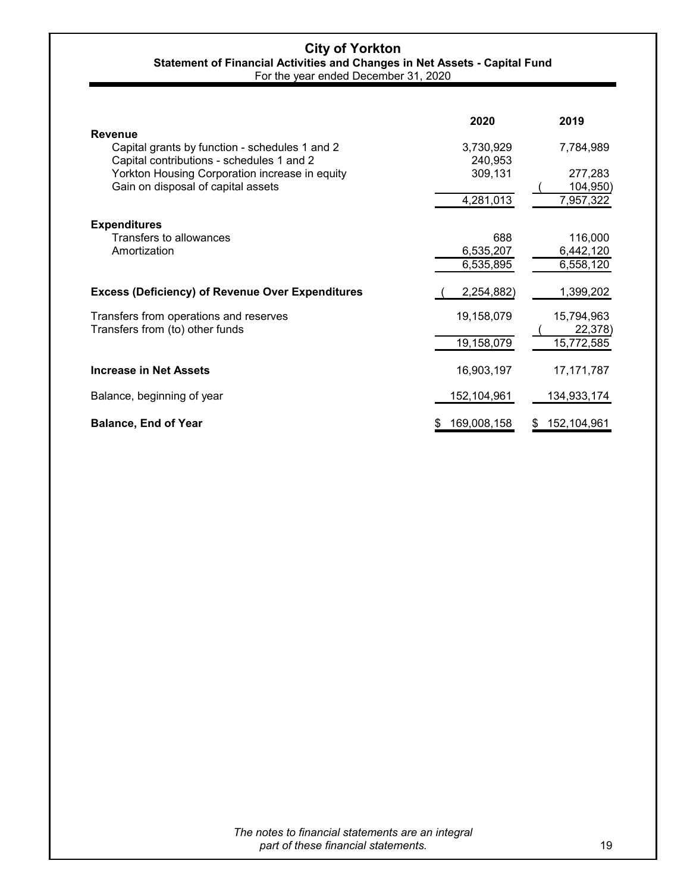## **City of Yorkton Statement of Financial Activities and Changes in Net Assets - Capital Fund**

For the year ended December 31, 2020

|                                                         | 2020              | 2019              |
|---------------------------------------------------------|-------------------|-------------------|
| <b>Revenue</b>                                          |                   |                   |
| Capital grants by function - schedules 1 and 2          | 3,730,929         | 7,784,989         |
| Capital contributions - schedules 1 and 2               | 240,953           |                   |
| Yorkton Housing Corporation increase in equity          | 309,131           | 277,283           |
| Gain on disposal of capital assets                      |                   | 104,950)          |
|                                                         | 4,281,013         | 7,957,322         |
|                                                         |                   |                   |
| <b>Expenditures</b>                                     |                   |                   |
| Transfers to allowances                                 | 688               | 116,000           |
| Amortization                                            | 6,535,207         | 6,442,120         |
|                                                         | 6,535,895         | 6,558,120         |
|                                                         |                   |                   |
| <b>Excess (Deficiency) of Revenue Over Expenditures</b> | 2,254,882)        | 1,399,202         |
|                                                         |                   |                   |
| Transfers from operations and reserves                  | 19,158,079        | 15,794,963        |
| Transfers from (to) other funds                         |                   | 22,378)           |
|                                                         | 19,158,079        | 15,772,585        |
| <b>Increase in Net Assets</b>                           | 16,903,197        | 17, 171, 787      |
|                                                         |                   |                   |
| Balance, beginning of year                              | 152,104,961       | 134,933,174       |
|                                                         |                   |                   |
| <b>Balance, End of Year</b>                             | 169,008,158<br>\$ | 152,104,961<br>\$ |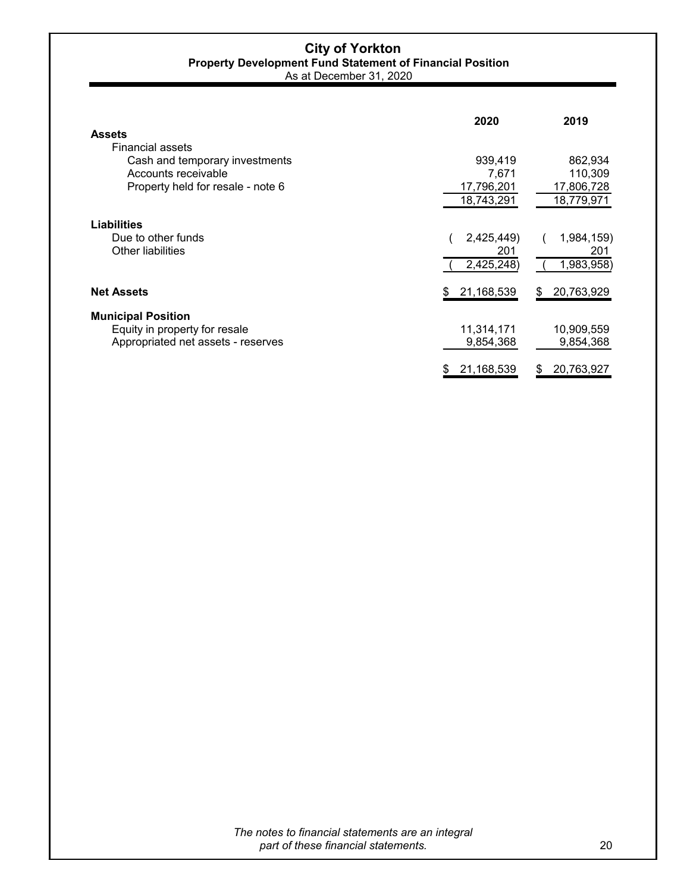#### **City of Yorkton Property Development Fund Statement of Financial Position** As at December 31, 2020

|                                    | 2020             | 2019             |
|------------------------------------|------------------|------------------|
| <b>Assets</b>                      |                  |                  |
| <b>Financial assets</b>            |                  |                  |
| Cash and temporary investments     | 939,419          | 862,934          |
| Accounts receivable                | 7,671            | 110,309          |
| Property held for resale - note 6  | 17,796,201       | 17,806,728       |
|                                    | 18,743,291       | 18,779,971       |
| Liabilities                        |                  |                  |
| Due to other funds                 | 2,425,449)       | 1,984,159)       |
| Other liabilities                  | 201              | 201              |
|                                    | 2,425,248)       | 1,983,958)       |
| <b>Net Assets</b>                  | 21,168,539<br>S  | 20,763,929<br>\$ |
| <b>Municipal Position</b>          |                  |                  |
| Equity in property for resale      | 11,314,171       | 10,909,559       |
| Appropriated net assets - reserves | 9,854,368        | 9,854,368        |
|                                    | 21,168,539<br>\$ | 20,763,927<br>S  |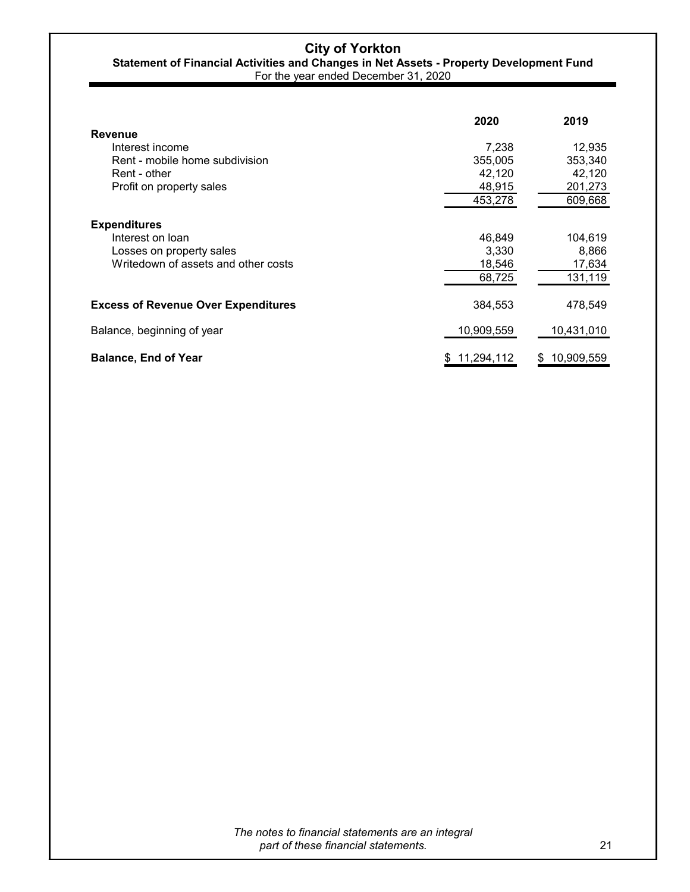## **City of Yorkton**

#### **Statement of Financial Activities and Changes in Net Assets - Property Development Fund** For the year ended December 31, 2020

|                                            | 2020             | 2019             |
|--------------------------------------------|------------------|------------------|
| Revenue                                    |                  |                  |
| Interest income                            | 7,238            | 12,935           |
| Rent - mobile home subdivision             | 355,005          | 353,340          |
| Rent - other                               | 42,120           | 42,120           |
| Profit on property sales                   | 48,915           | 201,273          |
|                                            | 453,278          | 609,668          |
| <b>Expenditures</b>                        |                  |                  |
| Interest on Ioan                           | 46,849           | 104,619          |
| Losses on property sales                   | 3.330            | 8,866            |
| Writedown of assets and other costs        | 18,546           | 17,634           |
|                                            | 68,725           | 131,119          |
| <b>Excess of Revenue Over Expenditures</b> | 384,553          | 478.549          |
| Balance, beginning of year                 | 10,909,559       | 10,431,010       |
| <b>Balance, End of Year</b>                | 11,294,112<br>S. | 10,909,559<br>\$ |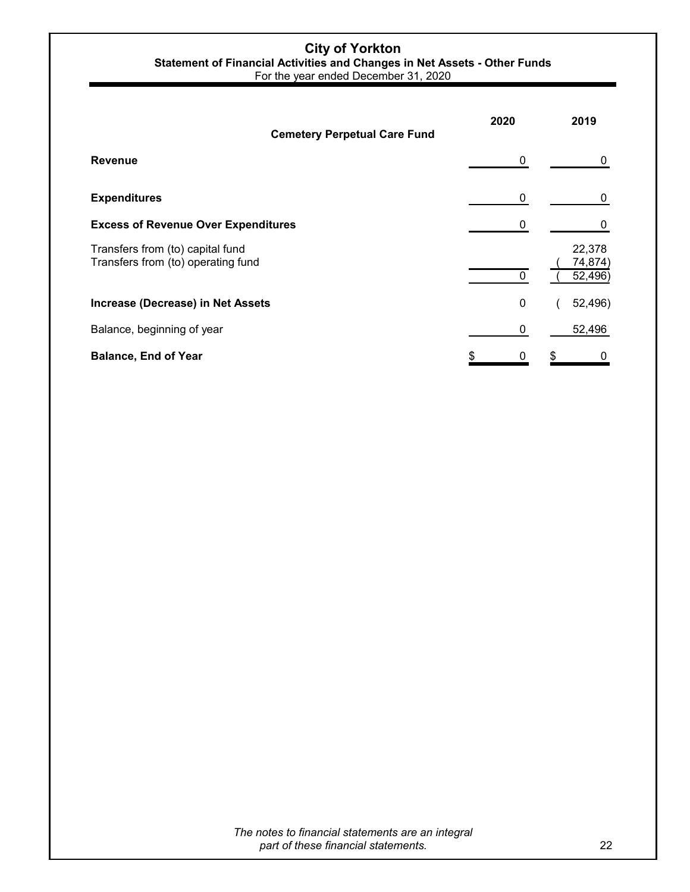# **City of Yorkton**

## **Statement of Financial Activities and Changes in Net Assets - Other Funds**

For the year ended December 31, 2020

| <b>Cemetery Perpetual Care Fund</b>                                    | 2020 | 2019                         |
|------------------------------------------------------------------------|------|------------------------------|
| <b>Revenue</b>                                                         | 0    | $\Omega$                     |
| <b>Expenditures</b>                                                    | 0    |                              |
| <b>Excess of Revenue Over Expenditures</b>                             |      |                              |
| Transfers from (to) capital fund<br>Transfers from (to) operating fund | 0    | 22,378<br>74,874)<br>52,496) |
| Increase (Decrease) in Net Assets                                      | 0    | 52,496)                      |
| Balance, beginning of year                                             | 0    | 52,496                       |
| <b>Balance, End of Year</b>                                            | \$   | 0                            |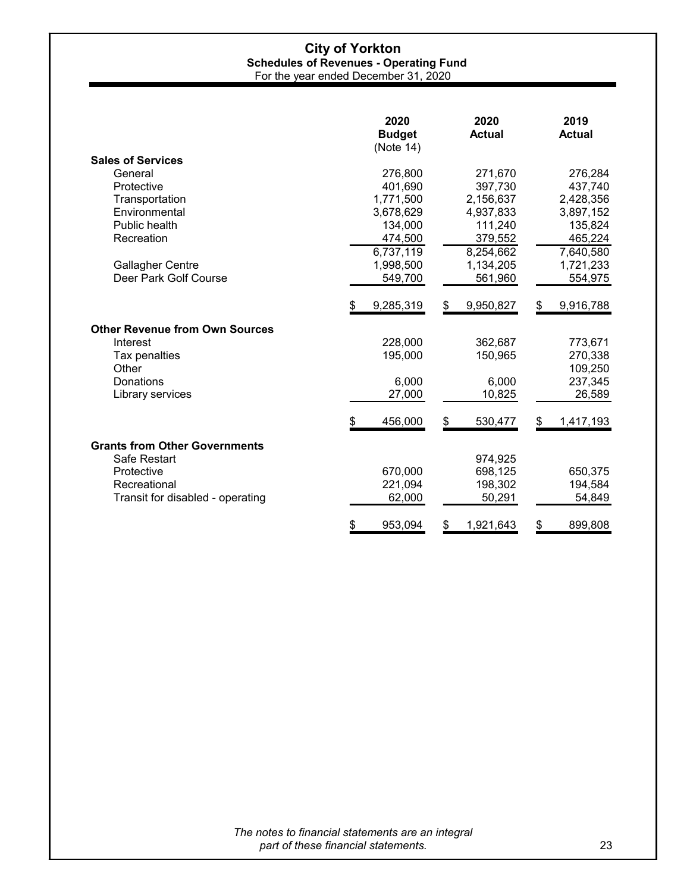#### **City of Yorkton Schedules of Revenues - Operating Fund**

For the year ended December 31, 2020

|                                       | 2020<br><b>Budget</b><br>(Note 14) | 2020<br><b>Actual</b> | 2019<br><b>Actual</b> |
|---------------------------------------|------------------------------------|-----------------------|-----------------------|
| <b>Sales of Services</b>              |                                    |                       |                       |
| General                               | 276,800                            | 271,670               | 276,284               |
| Protective                            | 401,690                            | 397,730               | 437,740               |
| Transportation                        | 1,771,500                          | 2,156,637             | 2,428,356             |
| Environmental                         | 3,678,629                          | 4,937,833             | 3,897,152             |
| Public health                         | 134,000                            | 111,240               | 135,824               |
| Recreation                            | 474,500                            | 379,552               | 465,224               |
|                                       | 6,737,119                          | 8,254,662             | 7,640,580             |
| Gallagher Centre                      | 1,998,500                          | 1,134,205             | 1,721,233             |
| Deer Park Golf Course                 | 549,700                            | 561,960               | 554,975               |
|                                       | 9,285,319<br>S                     | \$<br>9,950,827       | \$<br>9,916,788       |
| <b>Other Revenue from Own Sources</b> |                                    |                       |                       |
| Interest                              | 228,000                            | 362,687               | 773,671               |
| Tax penalties                         | 195,000                            | 150,965               | 270,338               |
| Other                                 |                                    |                       | 109,250               |
| Donations                             | 6,000                              | 6,000                 | 237,345               |
| Library services                      | 27,000                             | 10,825                | 26,589                |
|                                       | 456,000                            | 530,477<br>\$         | \$<br>1,417,193       |
| <b>Grants from Other Governments</b>  |                                    |                       |                       |
| Safe Restart                          |                                    | 974,925               |                       |
| Protective                            | 670,000                            | 698,125               | 650,375               |
| Recreational                          | 221,094                            | 198,302               | 194,584               |
| Transit for disabled - operating      | 62,000                             | 50,291                | 54,849                |
|                                       | \$<br>953,094                      | \$<br>1,921,643       | \$<br>899,808         |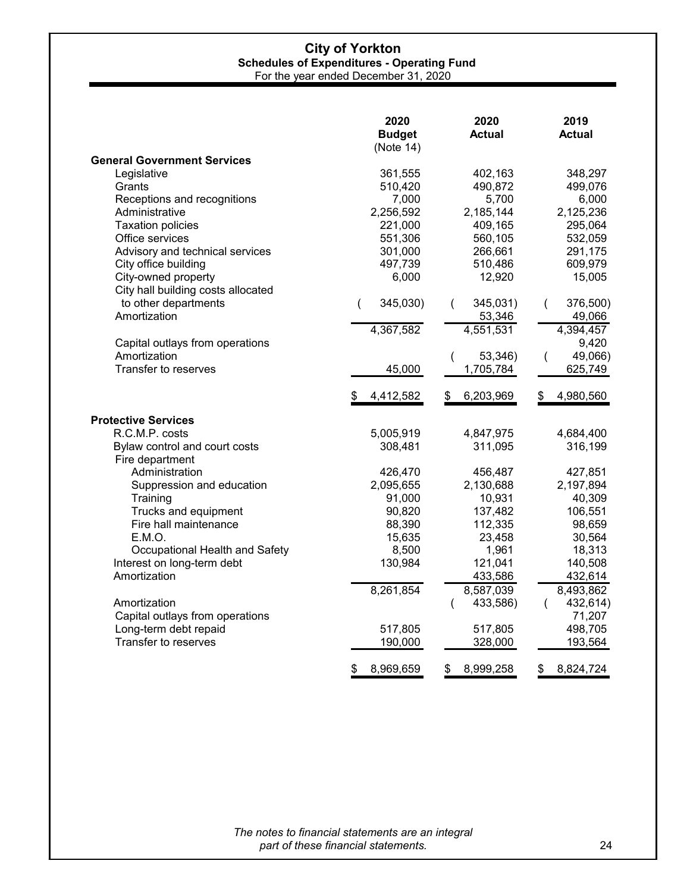#### **City of Yorkton Schedules of Expenditures - Operating Fund** For the year ended December 31, 2020

|                                                           | 2020<br><b>Budget</b><br>(Note 14) | 2020<br><b>Actual</b>      | 2019<br><b>Actual</b>     |
|-----------------------------------------------------------|------------------------------------|----------------------------|---------------------------|
| <b>General Government Services</b>                        |                                    |                            |                           |
| Legislative                                               | 361,555                            | 402,163                    | 348,297                   |
| Grants                                                    | 510,420                            | 490,872                    | 499,076                   |
| Receptions and recognitions                               | 7,000                              | 5,700                      | 6,000                     |
| Administrative                                            | 2,256,592                          | 2,185,144                  | 2,125,236                 |
| <b>Taxation policies</b>                                  | 221,000                            | 409,165                    | 295,064                   |
| Office services                                           | 551,306                            | 560,105                    | 532,059                   |
| Advisory and technical services                           | 301,000                            | 266,661                    | 291,175                   |
| City office building                                      | 497,739                            | 510,486                    | 609,979                   |
| City-owned property<br>City hall building costs allocated | 6,000                              | 12,920                     | 15,005                    |
| to other departments<br>Amortization                      | 345,030)<br>(                      | 345,031)<br>53,346         | 376,500)<br>(<br>49,066   |
|                                                           | 4,367,582                          | 4,551,531                  | 4,394,457                 |
| Capital outlays from operations                           |                                    |                            | 9,420                     |
| Amortization                                              |                                    | 53,346)<br>(               | 49,066)<br>$\overline{(}$ |
| Transfer to reserves                                      | 45,000                             | 1,705,784                  | 625,749                   |
|                                                           | 4,412,582                          | 6,203,969<br>\$            | 4,980,560<br>\$           |
| <b>Protective Services</b>                                |                                    |                            |                           |
| R.C.M.P. costs                                            | 5,005,919                          | 4,847,975                  | 4,684,400                 |
| Bylaw control and court costs                             | 308,481                            | 311,095                    | 316,199                   |
| Fire department                                           |                                    |                            |                           |
| Administration                                            | 426,470                            | 456,487                    | 427,851                   |
| Suppression and education                                 | 2,095,655                          | 2,130,688                  | 2,197,894                 |
| Training                                                  | 91,000                             | 10,931                     | 40,309                    |
| Trucks and equipment                                      | 90,820                             | 137,482                    | 106,551                   |
| Fire hall maintenance                                     | 88,390                             | 112,335                    | 98,659                    |
| E.M.O.                                                    | 15,635                             | 23,458                     | 30,564                    |
| Occupational Health and Safety                            | 8,500                              | 1,961                      | 18,313                    |
| Interest on long-term debt                                | 130,984                            | 121,041                    | 140,508                   |
| Amortization                                              |                                    | 433,586                    | 432,614                   |
|                                                           | 8,261,854                          | 8,587,039                  | 8,493,862                 |
| Amortization                                              |                                    | 433,586)<br>$\overline{(}$ | 432,614)<br>(             |
| Capital outlays from operations                           |                                    |                            | 71,207                    |
| Long-term debt repaid                                     | 517,805                            | 517,805                    | 498,705                   |
| Transfer to reserves                                      | 190,000                            | 328,000                    | 193,564                   |
|                                                           | 8,969,659                          | 8,999,258<br>\$            | \$<br>8,824,724           |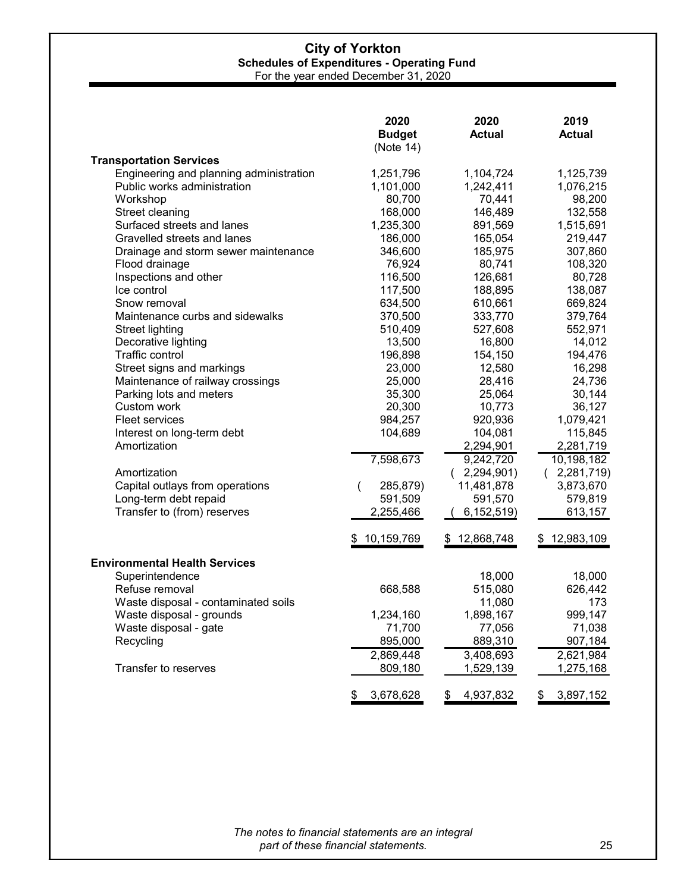#### **City of Yorkton Schedules of Expenditures - Operating Fund** For the year ended December 31, 2020

|                                                      | 2020<br><b>Budget</b><br>(Note 14) | 2020<br><b>Actual</b> | 2019<br><b>Actual</b> |
|------------------------------------------------------|------------------------------------|-----------------------|-----------------------|
| <b>Transportation Services</b>                       |                                    |                       |                       |
| Engineering and planning administration              | 1,251,796                          | 1,104,724             | 1,125,739             |
| Public works administration                          | 1,101,000                          | 1,242,411             | 1,076,215             |
| Workshop                                             | 80,700                             | 70,441                | 98,200                |
| Street cleaning                                      | 168,000                            | 146,489               | 132,558               |
| Surfaced streets and lanes                           | 1,235,300                          | 891,569               | 1,515,691             |
| Gravelled streets and lanes                          | 186,000                            | 165,054               | 219,447               |
| Drainage and storm sewer maintenance                 | 346,600                            | 185,975               | 307,860               |
| Flood drainage                                       | 76,924                             | 80,741                | 108,320               |
| Inspections and other                                | 116,500                            | 126,681               | 80,728                |
| Ice control                                          | 117,500                            | 188,895               | 138,087               |
| Snow removal                                         | 634,500                            | 610,661               | 669,824               |
| Maintenance curbs and sidewalks                      | 370,500                            | 333,770               | 379,764               |
| <b>Street lighting</b>                               | 510,409                            | 527,608               | 552,971               |
| Decorative lighting                                  | 13,500                             | 16,800                | 14,012                |
| Traffic control                                      | 196,898                            | 154,150               | 194,476               |
| Street signs and markings                            | 23,000                             | 12,580                | 16,298                |
| Maintenance of railway crossings                     | 25,000                             | 28,416                | 24,736                |
| Parking lots and meters                              | 35,300                             | 25,064                | 30,144                |
| Custom work                                          | 20,300                             | 10,773                | 36,127                |
| Fleet services                                       | 984,257                            | 920,936               | 1,079,421             |
| Interest on long-term debt                           | 104,689                            | 104,081               | 115,845               |
| Amortization                                         |                                    | 2,294,901             | 2,281,719             |
|                                                      | 7,598,673                          | 9,242,720             | 10,198,182            |
| Amortization                                         |                                    | (2,294,901)           | (2,281,719)           |
| Capital outlays from operations                      | 285,879)<br>(                      | 11,481,878            | 3,873,670             |
| Long-term debt repaid<br>Transfer to (from) reserves | 591,509<br>2,255,466               | 591,570               | 579,819<br>613,157    |
|                                                      |                                    | 6,152,519)            |                       |
|                                                      | 10,159,769                         | \$12,868,748          | \$12,983,109          |
| <b>Environmental Health Services</b>                 |                                    |                       |                       |
| Superintendence                                      |                                    | 18,000                | 18,000                |
| Refuse removal                                       | 668,588                            | 515,080               | 626,442               |
| Waste disposal - contaminated soils                  |                                    | 11,080                | 173                   |
| Waste disposal - grounds                             | 1,234,160                          | 1,898,167             | 999,147               |
| Waste disposal - gate                                | 71,700                             | 77,056                | 71,038                |
| Recycling                                            | 895,000                            | 889,310               | 907,184               |
|                                                      | 2,869,448                          | 3,408,693             | 2,621,984             |
| Transfer to reserves                                 | 809,180                            | 1,529,139             | 1,275,168             |
|                                                      | \$<br>3,678,628                    | \$<br>4,937,832       | \$<br>3,897,152       |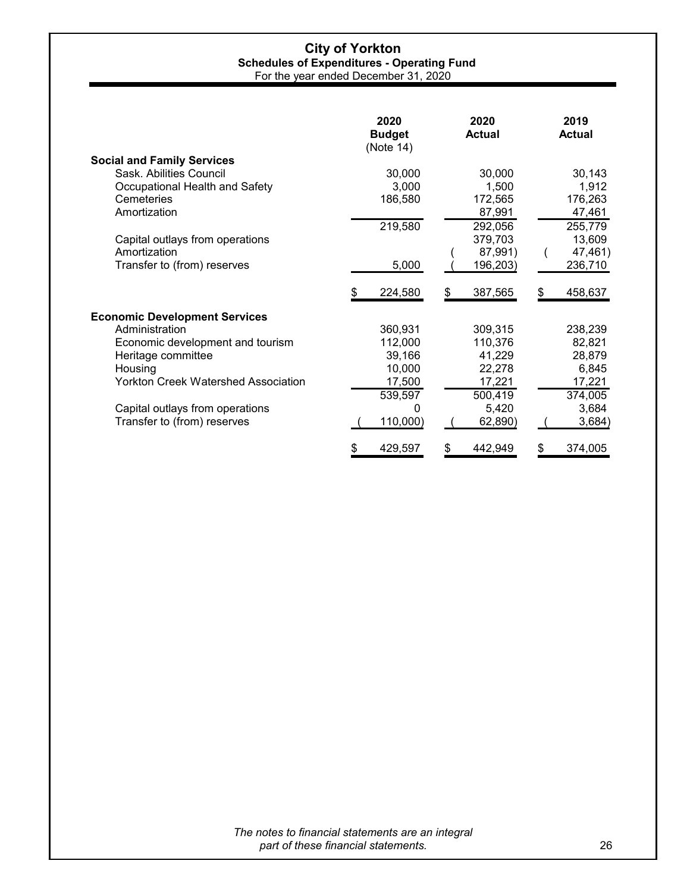## **City of Yorkton Schedules of Expenditures - Operating Fund**

For the year ended December 31, 2020

|                                                 | 2020<br><b>Budget</b><br>(Note 14) | 2020<br><b>Actual</b> | 2019<br>Actual |
|-------------------------------------------------|------------------------------------|-----------------------|----------------|
| <b>Social and Family Services</b>               |                                    |                       |                |
| Sask. Abilities Council                         | 30,000                             | 30,000                | 30,143         |
| Occupational Health and Safety                  | 3,000                              | 1,500                 | 1,912          |
| Cemeteries                                      | 186,580                            | 172,565               | 176,263        |
| Amortization                                    |                                    | 87,991                | 47,461         |
|                                                 | 219,580                            | 292,056               | 255,779        |
| Capital outlays from operations<br>Amortization |                                    | 379,703               | 13,609         |
| Transfer to (from) reserves                     | 5,000                              | 87,991)<br>196,203)   | 47,461)        |
|                                                 |                                    |                       | 236,710        |
|                                                 | 224,580<br>\$                      | 387,565               | 458,637<br>\$  |
| <b>Economic Development Services</b>            |                                    |                       |                |
| Administration                                  | 360,931                            | 309,315               | 238,239        |
| Economic development and tourism                | 112,000                            | 110,376               | 82,821         |
| Heritage committee                              | 39,166                             | 41,229                | 28,879         |
| Housing                                         | 10,000                             | 22,278                | 6,845          |
| <b>Yorkton Creek Watershed Association</b>      | 17,500                             | 17,221                | 17,221         |
|                                                 | 539,597                            | 500,419               | 374,005        |
| Capital outlays from operations                 | O                                  | 5,420                 | 3,684          |
| Transfer to (from) reserves                     | 110,000)                           | 62,890)               | 3,684)         |
|                                                 | 429,597<br>\$                      | 442,949<br>\$         | 374,005<br>\$  |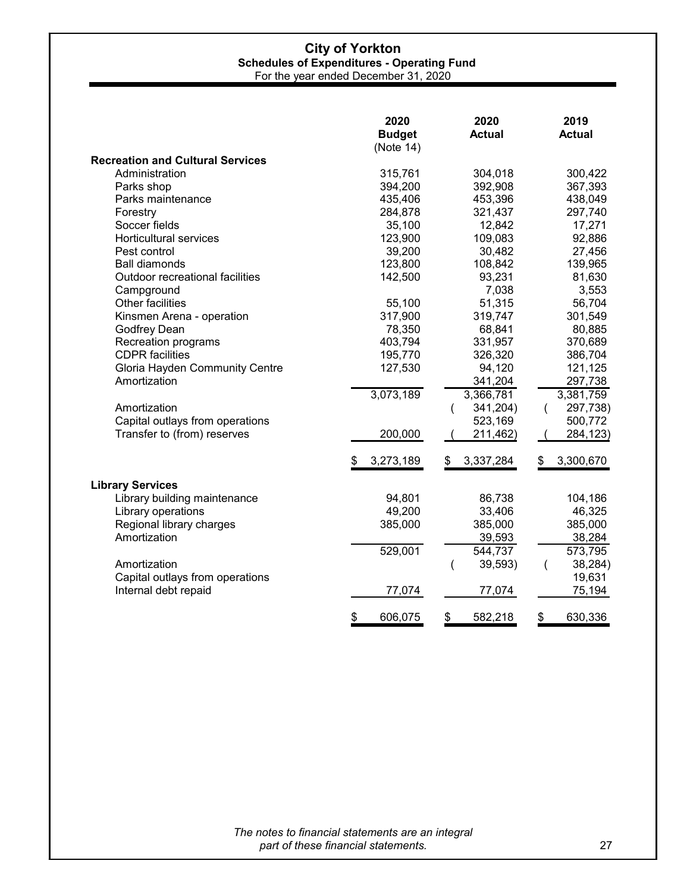#### **City of Yorkton Schedules of Expenditures - Operating Fund** For the year ended December 31, 2020

|                                         | 2020<br><b>Budget</b><br>(Note 14) | 2020<br><b>Actual</b> | 2019<br><b>Actual</b>     |
|-----------------------------------------|------------------------------------|-----------------------|---------------------------|
| <b>Recreation and Cultural Services</b> |                                    |                       |                           |
| Administration                          | 315,761                            | 304,018               | 300,422                   |
| Parks shop                              | 394,200                            | 392,908               | 367,393                   |
| Parks maintenance                       | 435,406                            | 453,396               | 438,049                   |
| Forestry                                | 284,878                            | 321,437               | 297,740                   |
| Soccer fields                           | 35,100                             | 12,842                | 17,271                    |
| <b>Horticultural services</b>           | 123,900                            | 109,083               | 92,886                    |
| Pest control                            | 39,200                             | 30,482                | 27,456                    |
| <b>Ball diamonds</b>                    | 123,800                            | 108,842               | 139,965                   |
| Outdoor recreational facilities         | 142,500                            | 93,231                | 81,630                    |
| Campground                              |                                    | 7,038                 | 3,553                     |
| Other facilities                        | 55,100                             | 51,315                | 56,704                    |
| Kinsmen Arena - operation               | 317,900                            | 319,747               | 301,549                   |
| Godfrey Dean                            | 78,350                             | 68,841                | 80,885                    |
| Recreation programs                     | 403,794                            | 331,957               | 370,689                   |
| <b>CDPR</b> facilities                  | 195,770                            | 326,320               | 386,704                   |
| Gloria Hayden Community Centre          | 127,530                            | 94,120                | 121,125                   |
| Amortization                            |                                    | 341,204               | 297,738                   |
|                                         | 3,073,189                          | 3,366,781             | 3,381,759                 |
| Amortization                            |                                    | 341,204)              | 297,738)<br>(             |
| Capital outlays from operations         |                                    | 523,169               | 500,772                   |
| Transfer to (from) reserves             | 200,000                            | 211,462)              | 284,123)                  |
|                                         | \$<br>3,273,189                    | 3,337,284<br>\$       | \$<br>3,300,670           |
| <b>Library Services</b>                 |                                    |                       |                           |
| Library building maintenance            | 94,801                             | 86,738                | 104,186                   |
| Library operations                      | 49,200                             | 33,406                | 46,325                    |
| Regional library charges                | 385,000                            | 385,000               | 385,000                   |
| Amortization                            |                                    | 39,593                | 38,284                    |
|                                         | 529,001                            | 544,737               | 573,795                   |
| Amortization                            |                                    | 39,593)               | 38,284)<br>$\overline{(}$ |
| Capital outlays from operations         |                                    |                       | 19,631                    |
| Internal debt repaid                    | 77,074                             | 77,074                | 75,194                    |
|                                         | 606,075<br>\$                      | 582,218<br>\$         | \$<br>630,336             |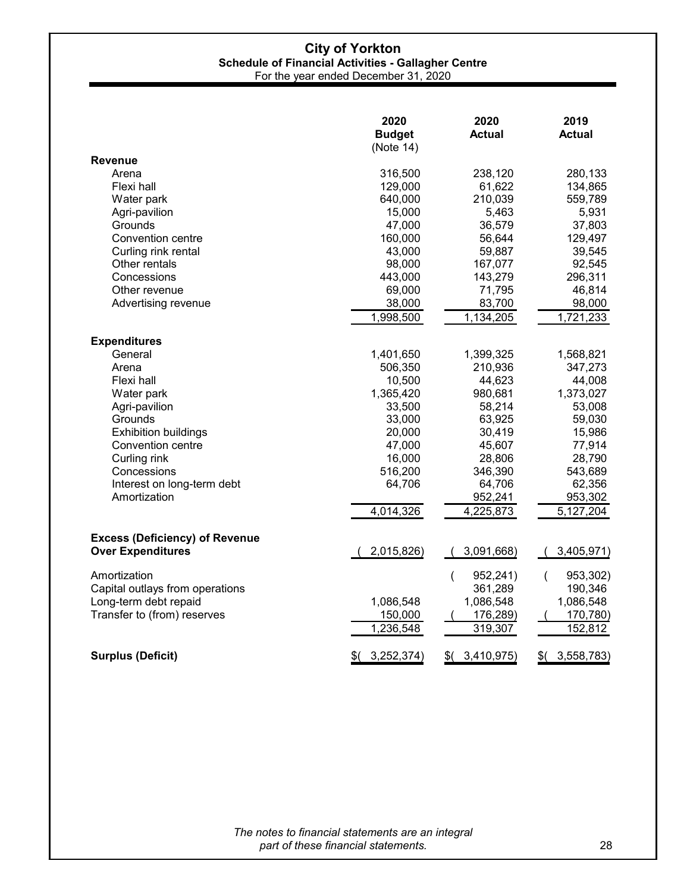## **City of Yorkton Schedule of Financial Activities - Gallagher Centre**

For the year ended December 31, 2020

|                                       | 2020<br><b>Budget</b><br>(Note 14) | 2020<br><b>Actual</b> | 2019<br><b>Actual</b> |
|---------------------------------------|------------------------------------|-----------------------|-----------------------|
| <b>Revenue</b>                        |                                    |                       |                       |
| Arena                                 | 316,500                            | 238,120               | 280,133               |
| Flexi hall                            | 129,000                            | 61,622                | 134,865               |
| Water park                            | 640,000                            | 210,039               | 559,789               |
| Agri-pavilion                         | 15,000                             | 5,463                 | 5,931                 |
| Grounds                               | 47,000                             | 36,579                | 37,803                |
| Convention centre                     | 160,000                            | 56,644                | 129,497               |
| Curling rink rental                   | 43,000                             | 59,887                | 39,545                |
| Other rentals                         | 98,000                             | 167,077               | 92,545                |
| Concessions                           | 443,000                            | 143,279               | 296,311               |
| Other revenue                         | 69,000                             | 71,795                | 46,814                |
| Advertising revenue                   | 38,000                             | 83,700                | 98,000                |
|                                       | 1,998,500                          | 1,134,205             | 1,721,233             |
| <b>Expenditures</b>                   |                                    |                       |                       |
| General                               | 1,401,650                          | 1,399,325             | 1,568,821             |
| Arena                                 | 506,350                            | 210,936               | 347,273               |
| Flexi hall                            | 10,500                             | 44,623                | 44,008                |
| Water park                            | 1,365,420                          | 980,681               | 1,373,027             |
| Agri-pavilion                         | 33,500                             | 58,214                | 53,008                |
| Grounds                               | 33,000                             | 63,925                | 59,030                |
| <b>Exhibition buildings</b>           | 20,000                             | 30,419                | 15,986                |
| Convention centre                     | 47,000                             | 45,607                | 77,914                |
| Curling rink                          | 16,000                             | 28,806                | 28,790                |
| Concessions                           | 516,200                            | 346,390               | 543,689               |
| Interest on long-term debt            | 64,706                             | 64,706                | 62,356                |
| Amortization                          |                                    | 952,241               | 953,302               |
|                                       | 4,014,326                          | 4,225,873             | 5,127,204             |
| <b>Excess (Deficiency) of Revenue</b> |                                    |                       |                       |
| <b>Over Expenditures</b>              | 2,015,826)                         | 3,091,668)            | 3,405,971)            |
| Amortization                          |                                    | 952,241)              | 953,302)              |
| Capital outlays from operations       |                                    | 361,289               | 190,346               |
| Long-term debt repaid                 | 1,086,548                          | 1,086,548             | 1,086,548             |
| Transfer to (from) reserves           | 150,000                            | 176,289)              | 170,780)              |
|                                       | 1,236,548                          | 319,307               | 152,812               |
| <b>Surplus (Deficit)</b>              | \$(3,252,374)                      | \$(3,410,975)         | 3,558,783)<br>\$(     |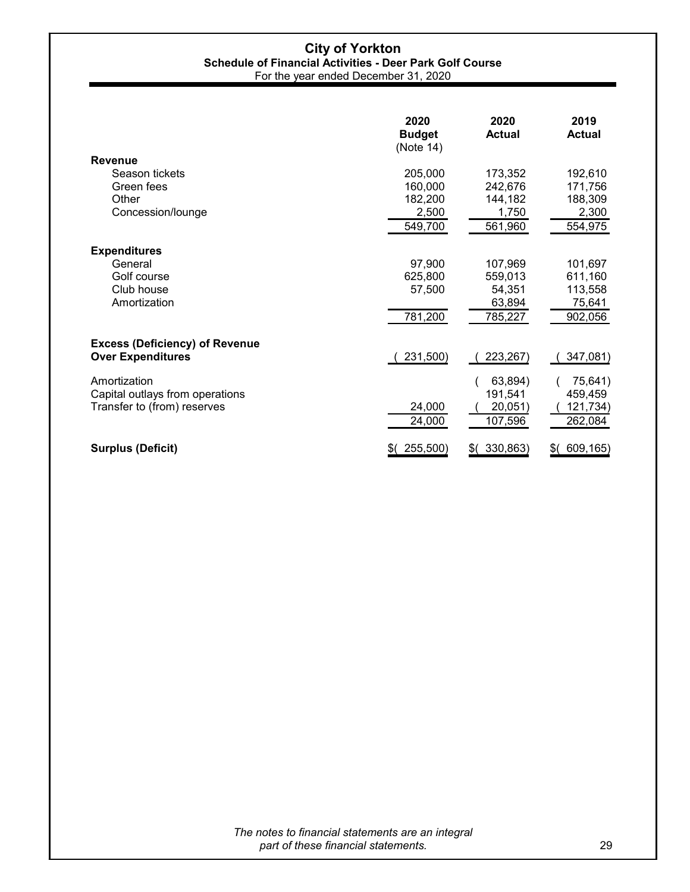#### **City of Yorkton Schedule of Financial Activities - Deer Park Golf Course** For the year ended December 31, 2020

| <b>Revenue</b>                                  | 2020<br><b>Budget</b><br>(Note 14) | 2020<br>Actual     | 2019<br><b>Actual</b> |
|-------------------------------------------------|------------------------------------|--------------------|-----------------------|
| Season tickets                                  | 205,000                            | 173,352            | 192,610               |
| Green fees                                      | 160,000                            | 242,676            | 171,756               |
| Other                                           | 182,200                            | 144,182            | 188,309               |
| Concession/lounge                               | 2,500                              | 1,750              | 2,300                 |
|                                                 | 549,700                            | 561,960            | 554,975               |
| <b>Expenditures</b>                             |                                    |                    |                       |
| General                                         | 97,900                             | 107,969            | 101,697               |
| Golf course                                     | 625,800                            | 559,013            | 611,160               |
| Club house                                      | 57,500                             | 54,351             | 113,558               |
| Amortization                                    |                                    | 63,894             | 75,641                |
|                                                 | 781,200                            | 785,227            | 902,056               |
| <b>Excess (Deficiency) of Revenue</b>           |                                    |                    |                       |
| <b>Over Expenditures</b>                        | 231,500)                           | 223,267)           | 347,081)              |
| Amortization<br>Capital outlays from operations |                                    | 63,894)<br>191,541 | 75,641)<br>459,459    |
| Transfer to (from) reserves                     | 24,000<br>24,000                   | 20,051)<br>107,596 | 121,734)<br>262,084   |
| <b>Surplus (Deficit)</b>                        | 255,500)                           | 330,863)<br>\$(    | \$(609, 165)          |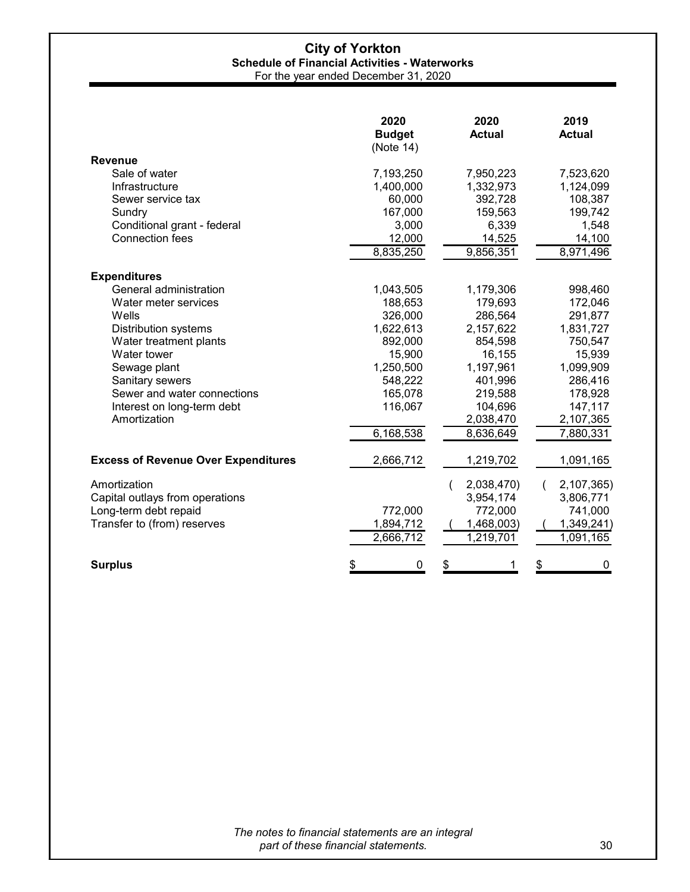#### **City of Yorkton Schedule of Financial Activities - Waterworks**

For the year ended December 31, 2020

|                                            | 2020<br><b>Budget</b><br>(Note 14) | 2020<br><b>Actual</b> | 2019<br><b>Actual</b> |
|--------------------------------------------|------------------------------------|-----------------------|-----------------------|
| <b>Revenue</b>                             |                                    |                       |                       |
| Sale of water                              | 7,193,250                          | 7,950,223             | 7,523,620             |
| Infrastructure                             | 1,400,000                          | 1,332,973             | 1,124,099             |
| Sewer service tax                          | 60,000                             | 392,728               | 108,387               |
| Sundry                                     | 167,000                            | 159,563               | 199,742               |
| Conditional grant - federal                | 3,000                              | 6,339                 | 1,548                 |
| <b>Connection fees</b>                     | 12,000                             | 14,525                | 14,100                |
|                                            | 8,835,250                          | 9,856,351             | 8,971,496             |
| <b>Expenditures</b>                        |                                    |                       |                       |
| General administration                     | 1,043,505                          | 1,179,306             | 998,460               |
| Water meter services                       | 188,653                            | 179,693               | 172,046               |
| Wells                                      | 326,000                            | 286,564               | 291,877               |
| <b>Distribution systems</b>                | 1,622,613                          | 2,157,622             | 1,831,727             |
| Water treatment plants                     | 892,000                            | 854,598               | 750,547               |
| Water tower                                | 15,900                             | 16,155                | 15,939                |
| Sewage plant                               | 1,250,500                          | 1,197,961             | 1,099,909             |
| Sanitary sewers                            | 548,222                            | 401,996               | 286,416               |
| Sewer and water connections                | 165,078                            | 219,588               | 178,928               |
| Interest on long-term debt                 | 116,067                            | 104,696               | 147,117               |
| Amortization                               |                                    | 2,038,470             | 2,107,365             |
|                                            | 6,168,538                          | 8,636,649             | 7,880,331             |
| <b>Excess of Revenue Over Expenditures</b> | 2,666,712                          | 1,219,702             | 1,091,165             |
| Amortization                               |                                    | 2,038,470)            | 2,107,365)            |
| Capital outlays from operations            |                                    | 3,954,174             | 3,806,771             |
| Long-term debt repaid                      | 772,000                            | 772,000               | 741,000               |
| Transfer to (from) reserves                | 1,894,712                          | 1,468,003)            | 1,349,241)            |
|                                            | 2,666,712                          | 1,219,701             | 1,091,165             |
| <b>Surplus</b>                             | \$<br>0                            | 1                     | \$<br>0               |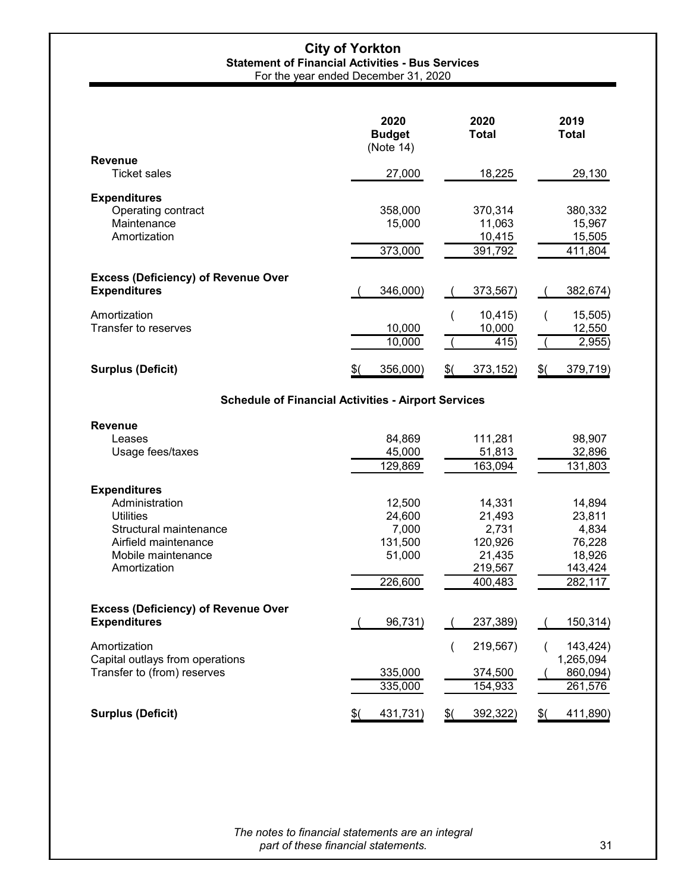## **City of Yorkton Statement of Financial Activities - Bus Services**

For the year ended December 31, 2020

|                                                                          | 2020<br><b>Budget</b><br>(Note 14) | 2020<br>Total                          | 2019<br>Total                          |
|--------------------------------------------------------------------------|------------------------------------|----------------------------------------|----------------------------------------|
| <b>Revenue</b><br><b>Ticket sales</b>                                    | 27,000                             | 18,225                                 | 29,130                                 |
| <b>Expenditures</b><br>Operating contract<br>Maintenance<br>Amortization | 358,000<br>15,000<br>373,000       | 370,314<br>11,063<br>10,415<br>391,792 | 380,332<br>15,967<br>15,505<br>411,804 |
| <b>Excess (Deficiency) of Revenue Over</b><br><b>Expenditures</b>        | 346,000)                           | 373,567)                               | 382,674)                               |
| Amortization<br>Transfer to reserves                                     | 10,000<br>10,000                   | 10,415)<br>10,000<br>415)              | 15,505)<br>12,550<br>2,955)            |
| <b>Surplus (Deficit)</b>                                                 | 356,000)<br>\$(                    | 373,152)<br>\$(                        | \$(<br>379,719)                        |

## **Schedule of Financial Activities - Airport Services**

| <b>Revenue</b>                             |                 |                 |                 |
|--------------------------------------------|-----------------|-----------------|-----------------|
| Leases                                     | 84,869          | 111,281         | 98,907          |
| Usage fees/taxes                           | 45,000          | 51,813          | 32,896          |
|                                            | 129,869         | 163,094         | 131,803         |
| <b>Expenditures</b>                        |                 |                 |                 |
| Administration                             | 12,500          | 14,331          | 14,894          |
| <b>Utilities</b>                           | 24,600          | 21,493          | 23,811          |
| Structural maintenance                     | 7,000           | 2,731           | 4,834           |
| Airfield maintenance                       | 131,500         | 120,926         | 76,228          |
| Mobile maintenance                         | 51,000          | 21,435          | 18,926          |
| Amortization                               |                 | 219,567         | 143,424         |
|                                            | 226,600         | 400,483         | 282,117         |
| <b>Excess (Deficiency) of Revenue Over</b> |                 |                 |                 |
| <b>Expenditures</b>                        | 96,731)         | 237,389)        | 150,314)        |
| Amortization                               |                 | 219,567)        | 143,424)        |
| Capital outlays from operations            |                 |                 | 1,265,094       |
| Transfer to (from) reserves                | 335,000         | 374,500         | 860,094)        |
|                                            | 335,000         | 154,933         | 261,576         |
| <b>Surplus (Deficit)</b>                   | 431,731)<br>\$( | 392,322)<br>\$( | 411,890)<br>\$( |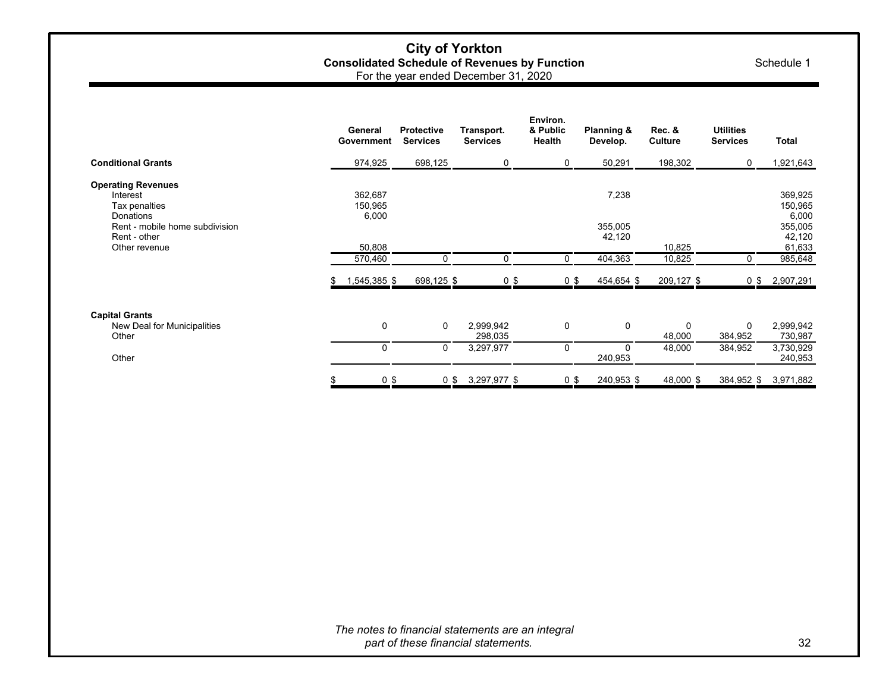#### **City of Yorkton Consolidated Schedule of Revenues by Function Schedule 1 Schedule 1 Schedule 1** For the year ended December 31, 2020

|                                                               | General<br>Government | <b>Protective</b><br><b>Services</b> | Transport.<br><b>Services</b> | Environ.<br>& Public<br>Health | Planning &<br>Develop. | Rec. &<br><b>Culture</b> | <b>Utilities</b><br><b>Services</b> | Total                      |
|---------------------------------------------------------------|-----------------------|--------------------------------------|-------------------------------|--------------------------------|------------------------|--------------------------|-------------------------------------|----------------------------|
| <b>Conditional Grants</b>                                     | 974,925               | 698,125                              | $\Omega$                      | 0                              | 50,291                 | 198,302                  | $\Omega$                            | 1,921,643                  |
| <b>Operating Revenues</b><br>Interest<br>Tax penalties        | 362,687<br>150,965    |                                      |                               |                                | 7,238                  |                          |                                     | 369,925<br>150,965         |
| Donations<br>Rent - mobile home subdivision<br>Rent - other   | 6,000                 |                                      |                               |                                | 355,005<br>42,120      |                          |                                     | 6,000<br>355,005<br>42,120 |
| Other revenue                                                 | 50,808<br>570,460     | 0                                    | $\Omega$                      | 0                              | 404,363                | 10,825<br>10,825         | 0                                   | 61,633<br>985,648          |
|                                                               | \$<br>1,545,385 \$    | 698,125 \$                           | 0 <sup>5</sup>                | 0 <sup>5</sup>                 | 454,654 \$             | 209,127 \$               | 0 <sup>5</sup>                      | 2,907,291                  |
| <b>Capital Grants</b><br>New Deal for Municipalities<br>Other | $\pmb{0}$             | 0                                    | 2,999,942<br>298,035          | 0                              | $\mathbf 0$            | $\Omega$<br>48,000       | $\Omega$<br>384,952                 | 2,999,942<br>730,987       |
| Other                                                         | 0                     | 0                                    | 3,297,977                     | 0                              | 0<br>240,953           | 48,000                   | 384,952                             | 3,730,929<br>240,953       |
|                                                               | \$<br>0 <sup>5</sup>  | $0$ \$                               | 3,297,977 \$                  | 0 <sup>5</sup>                 | 240,953 \$             | 48,000 \$                | 384,952 \$                          | 3,971,882                  |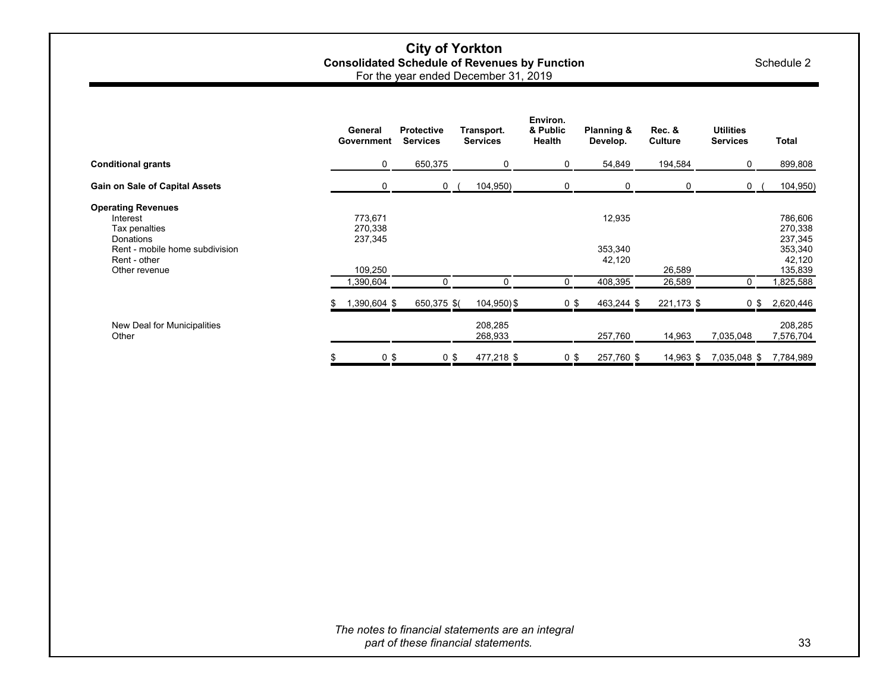#### **City of Yorkton Consolidated Schedule of Revenues by Function Schedule 2 All and Schedule 2 All and Schedule 2** For the year ended December 31, 2019

|                                                                                                                                        | General<br>Government                    | <b>Protective</b><br><b>Services</b> | Transport.<br><b>Services</b> | Environ.<br>& Public<br>Health | Planning &<br>Develop.      | Rec. &<br><b>Culture</b> | <b>Utilities</b><br><b>Services</b> | Total                                                         |
|----------------------------------------------------------------------------------------------------------------------------------------|------------------------------------------|--------------------------------------|-------------------------------|--------------------------------|-----------------------------|--------------------------|-------------------------------------|---------------------------------------------------------------|
| <b>Conditional grants</b>                                                                                                              | 0                                        | 650,375                              | 0                             | 0                              | 54,849                      | 194,584                  | 0                                   | 899,808                                                       |
| Gain on Sale of Capital Assets                                                                                                         | 0                                        | 0                                    | 104,950)                      | 0                              | 0                           | 0                        | 0                                   | 104,950)                                                      |
| <b>Operating Revenues</b><br>Interest<br>Tax penalties<br>Donations<br>Rent - mobile home subdivision<br>Rent - other<br>Other revenue | 773,671<br>270,338<br>237,345<br>109,250 |                                      |                               |                                | 12,935<br>353,340<br>42,120 | 26,589                   |                                     | 786,606<br>270,338<br>237,345<br>353,340<br>42,120<br>135,839 |
|                                                                                                                                        | ,390,604                                 | O                                    | $\Omega$                      |                                | 408,395                     | 26,589                   | 0                                   | 825,588,                                                      |
|                                                                                                                                        | ,390,604 \$                              | 650,375 \$                           | 104,950)\$                    | 0 <sup>5</sup>                 | 463,244 \$                  | 221,173 \$               | 0 <sup>5</sup>                      | 2,620,446                                                     |
| New Deal for Municipalities<br>Other                                                                                                   |                                          |                                      | 208,285<br>268,933            |                                | 257,760                     | 14,963                   | 7,035,048                           | 208,285<br>7,576,704                                          |
|                                                                                                                                        | \$<br>0 <sup>5</sup>                     | 0 <sup>5</sup>                       | 477,218 \$                    | 0 <sup>5</sup>                 | 257,760 \$                  | 14,963 \$                | 7,035,048 \$                        | 7,784,989                                                     |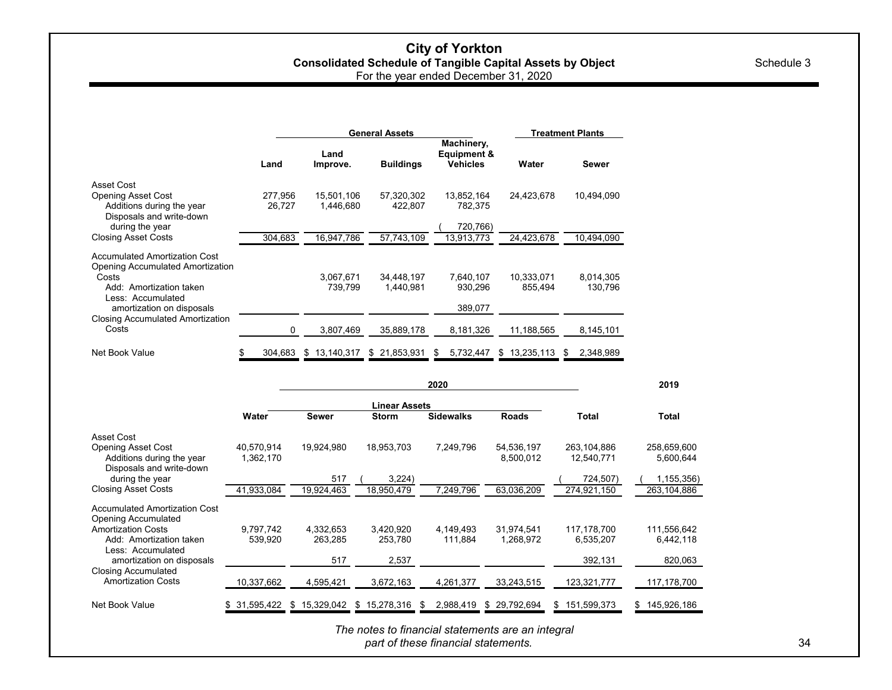#### **City of Yorkton Consolidated Schedule of Tangible Capital Assets by Object Schedule 3 Schedule 3** For the year ended December 31, 2020

|                                                                                                                                                                       |      |         |                      | <b>General Assets</b>   |                                                         |                       | <b>Treatment Plants</b> |  |  |
|-----------------------------------------------------------------------------------------------------------------------------------------------------------------------|------|---------|----------------------|-------------------------|---------------------------------------------------------|-----------------------|-------------------------|--|--|
|                                                                                                                                                                       | Land |         | Land<br>Improve.     | <b>Buildings</b>        | Machinery,<br><b>Equipment &amp;</b><br><b>Vehicles</b> | Water                 | <b>Sewer</b>            |  |  |
| Asset Cost                                                                                                                                                            |      |         |                      |                         |                                                         |                       |                         |  |  |
| <b>Opening Asset Cost</b>                                                                                                                                             |      | 277.956 | 15,501,106           | 57,320,302              | 13,852,164                                              | 24,423,678            | 10,494,090              |  |  |
| Additions during the year                                                                                                                                             |      | 26,727  | 1,446,680            | 422,807                 | 782,375                                                 |                       |                         |  |  |
| Disposals and write-down                                                                                                                                              |      |         |                      |                         |                                                         |                       |                         |  |  |
| during the year                                                                                                                                                       |      |         |                      |                         | 720,766)                                                |                       |                         |  |  |
| <b>Closing Asset Costs</b>                                                                                                                                            |      | 304.683 | 16,947,786           | 57,743,109              | 13,913,773                                              | 24,423,678            | 10,494,090              |  |  |
| <b>Accumulated Amortization Cost</b><br><b>Opening Accumulated Amortization</b><br>Costs<br>Add: Amortization taken<br>Less: Accumulated<br>amortization on disposals |      |         | 3,067,671<br>739.799 | 34,448,197<br>1.440.981 | 7,640,107<br>930.296<br>389,077                         | 10,333,071<br>855.494 | 8,014,305<br>130,796    |  |  |
| <b>Closing Accumulated Amortization</b><br>Costs                                                                                                                      |      | 0       | 3,807,469            | 35,889,178              | 8,181,326                                               | 11,188,565            | 8,145,101               |  |  |
| Net Book Value                                                                                                                                                        | \$   | 304.683 | 13,140,317<br>\$     | \$21,853,931            | 5,732,447<br>S                                          | 13,235,113<br>\$      | 2,348,989               |  |  |

|                                                                                    | 2020                    |                      |                  |                  |                         |                           |                          |  |  |  |
|------------------------------------------------------------------------------------|-------------------------|----------------------|------------------|------------------|-------------------------|---------------------------|--------------------------|--|--|--|
|                                                                                    |                         | <b>Linear Assets</b> |                  |                  |                         |                           |                          |  |  |  |
|                                                                                    | Water                   | Sewer                | <b>Storm</b>     | <b>Sidewalks</b> | <b>Roads</b>            | <b>Total</b>              | <b>Total</b>             |  |  |  |
| Asset Cost                                                                         |                         |                      |                  |                  |                         |                           |                          |  |  |  |
| <b>Opening Asset Cost</b><br>Additions during the year<br>Disposals and write-down | 40,570,914<br>1,362,170 | 19,924,980           | 18,953,703       | 7,249,796        | 54,536,197<br>8,500,012 | 263,104,886<br>12,540,771 | 258,659,600<br>5,600,644 |  |  |  |
| during the year                                                                    |                         | 517                  | 3,224)           |                  |                         | 724,507)                  | 1,155,356)               |  |  |  |
| <b>Closing Asset Costs</b>                                                         | 41,933,084              | 19,924,463           | 18,950,479       | 7,249,796        | 63,036,209              | 274,921,150               | 263,104,886              |  |  |  |
| <b>Accumulated Amortization Cost</b><br><b>Opening Accumulated</b>                 |                         |                      |                  |                  |                         |                           |                          |  |  |  |
| <b>Amortization Costs</b>                                                          | 9,797,742               | 4,332,653            | 3,420,920        | 4,149,493        | 31,974,541              | 117,178,700               | 111,556,642              |  |  |  |
| Add: Amortization taken<br>Less: Accumulated                                       | 539,920                 | 263,285              | 253,780          | 111,884          | 1,268,972               | 6,535,207                 | 6,442,118                |  |  |  |
| amortization on disposals                                                          |                         | 517                  | 2,537            |                  |                         | 392,131                   | 820,063                  |  |  |  |
| <b>Closing Accumulated</b><br><b>Amortization Costs</b>                            | 10,337,662              | 4,595,421            | 3,672,163        | 4,261,377        | 33,243,515              | 123,321,777               | 117,178,700              |  |  |  |
| Net Book Value                                                                     | 31,595,422<br>S.        | 15,329,042<br>\$     | 15,278,316<br>\$ | 2,988,419<br>\$  | 29,792,694<br>\$        | 151,599,373<br>S          | 145,926,186<br>S         |  |  |  |
|                                                                                    |                         |                      |                  |                  |                         |                           |                          |  |  |  |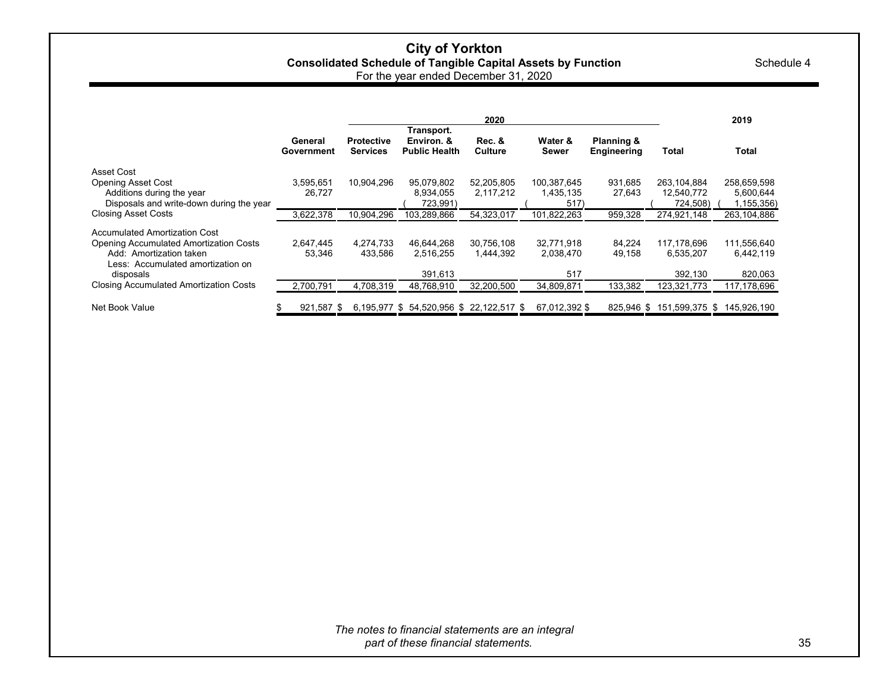#### **City of Yorkton Consolidated Schedule of Tangible Capital Assets by Function Schedule 4 Schedule 4** For the year ended December 31, 2020

|                                                                                                                                                       |                       |                                      |                                                  |                         | 2019                             |                                  |                                       |                                        |
|-------------------------------------------------------------------------------------------------------------------------------------------------------|-----------------------|--------------------------------------|--------------------------------------------------|-------------------------|----------------------------------|----------------------------------|---------------------------------------|----------------------------------------|
|                                                                                                                                                       | General<br>Government | <b>Protective</b><br><b>Services</b> | Transport.<br>Environ. &<br><b>Public Health</b> | Rec. &<br>Culture       | Water &<br>Sewer                 | Planning &<br><b>Engineering</b> | Total                                 | <b>Total</b>                           |
| Asset Cost<br><b>Opening Asset Cost</b><br>Additions during the year<br>Disposals and write-down during the year                                      | 3,595,651<br>26.727   | 10,904,296                           | 95,079,802<br>8,934,055<br>723,991)              | 52.205.805<br>2,117,212 | 100,387,645<br>1,435,135<br>517) | 931,685<br>27,643                | 263,104,884<br>12,540,772<br>724,508) | 258,659,598<br>5,600,644<br>1,155,356) |
| <b>Closing Asset Costs</b>                                                                                                                            | 3.622.378             | 10.904.296                           | 103.289.866                                      | 54,323,017              | 101,822,263                      | 959.328                          | 274,921,148                           | 263,104,886                            |
| <b>Accumulated Amortization Cost</b><br><b>Opening Accumulated Amortization Costs</b><br>Add: Amortization taken<br>Less: Accumulated amortization on | 2,647,445<br>53,346   | 4,274,733<br>433,586                 | 46,644,268<br>2,516,255                          | 30,756,108<br>1,444,392 | 32.771.918<br>2,038,470          | 84,224<br>49,158                 | 117.178.696<br>6,535,207              | 111,556,640<br>6,442,119               |
| disposals                                                                                                                                             |                       |                                      | 391,613                                          |                         | 517                              |                                  | 392,130                               | 820,063                                |
| <b>Closing Accumulated Amortization Costs</b>                                                                                                         | 2.700.791             | 4.708.319                            | 48.768.910                                       | 32.200.500              | 34,809,871                       | 133.382                          | 123,321,773                           | 117,178,696                            |
| Net Book Value                                                                                                                                        | 921.587<br>- \$<br>\$ |                                      | 6.195.977 \$ 54.520.956 \$ 22.122.517 \$         |                         | 67.012.392 \$                    |                                  |                                       | 825,946 \$151,599,375 \$145,926,190    |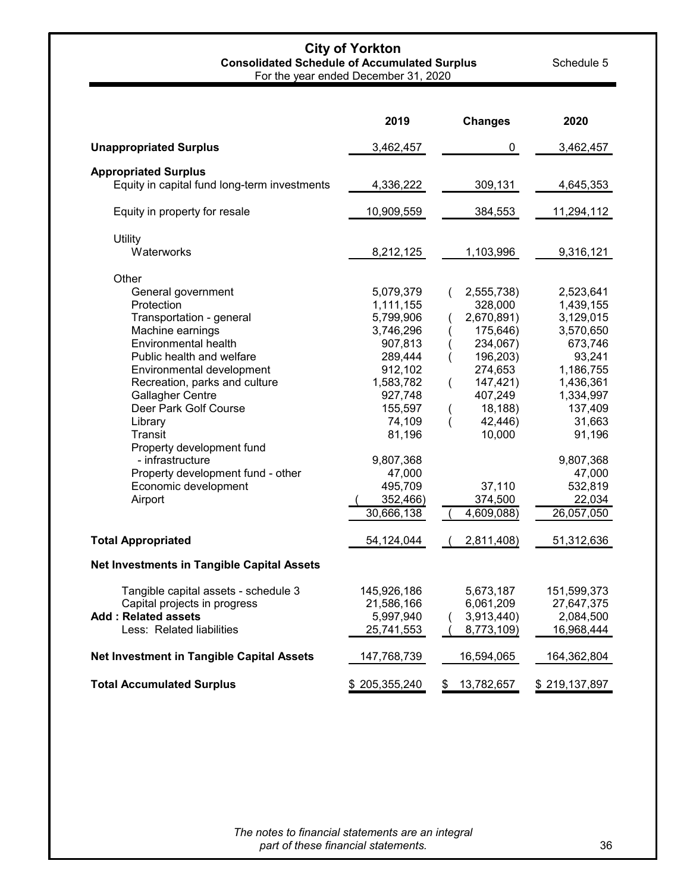| <b>City of Yorkton</b><br><b>Consolidated Schedule of Accumulated Surplus</b><br>For the year ended December 31, 2020 |                      |                     |                        |  |  |  |  |  |
|-----------------------------------------------------------------------------------------------------------------------|----------------------|---------------------|------------------------|--|--|--|--|--|
|                                                                                                                       | 2019                 | <b>Changes</b>      | 2020                   |  |  |  |  |  |
| <b>Unappropriated Surplus</b>                                                                                         | 3,462,457            | 0                   | 3,462,457              |  |  |  |  |  |
| <b>Appropriated Surplus</b>                                                                                           |                      |                     |                        |  |  |  |  |  |
| Equity in capital fund long-term investments                                                                          | 4,336,222            | 309,131             | 4,645,353              |  |  |  |  |  |
| Equity in property for resale                                                                                         | 10,909,559           | 384,553             | 11,294,112             |  |  |  |  |  |
| <b>Utility</b>                                                                                                        |                      |                     |                        |  |  |  |  |  |
| Waterworks                                                                                                            | 8,212,125            | 1,103,996           | 9,316,121              |  |  |  |  |  |
| Other                                                                                                                 |                      |                     |                        |  |  |  |  |  |
| General government                                                                                                    | 5,079,379            | 2,555,738)          | 2,523,641              |  |  |  |  |  |
| Protection                                                                                                            | 1,111,155            | 328,000             | 1,439,155              |  |  |  |  |  |
| Transportation - general                                                                                              | 5,799,906            | 2,670,891)          | 3,129,015              |  |  |  |  |  |
| Machine earnings                                                                                                      | 3,746,296            | 175,646)            | 3,570,650              |  |  |  |  |  |
| Environmental health                                                                                                  | 907,813              | 234,067)            | 673,746                |  |  |  |  |  |
| Public health and welfare                                                                                             | 289,444              | 196,203)            | 93,241                 |  |  |  |  |  |
| Environmental development                                                                                             | 912,102              | 274,653             | 1,186,755              |  |  |  |  |  |
| Recreation, parks and culture<br>Gallagher Centre                                                                     | 1,583,782<br>927,748 | 147,421)<br>407,249 | 1,436,361<br>1,334,997 |  |  |  |  |  |
| Deer Park Golf Course                                                                                                 | 155,597              | 18,188)             | 137,409                |  |  |  |  |  |
| Library                                                                                                               | 74,109               | 42,446)             | 31,663                 |  |  |  |  |  |
| Transit                                                                                                               | 81,196               | 10,000              | 91,196                 |  |  |  |  |  |
| Property development fund                                                                                             |                      |                     |                        |  |  |  |  |  |
| - infrastructure                                                                                                      | 9,807,368            |                     | 9,807,368              |  |  |  |  |  |
| Property development fund - other                                                                                     | 47,000               |                     | 47,000                 |  |  |  |  |  |
| Economic development                                                                                                  | 495,709              | 37,110              | 532,819                |  |  |  |  |  |
| Airport                                                                                                               | 352,466)             | 374,500             | 22,034                 |  |  |  |  |  |
|                                                                                                                       | 30,666,138           | 4,609,088)          | 26,057,050             |  |  |  |  |  |
| <b>Total Appropriated</b>                                                                                             | 54,124,044           | 2,811,408)          | 51,312,636             |  |  |  |  |  |
| <b>Net Investments in Tangible Capital Assets</b>                                                                     |                      |                     |                        |  |  |  |  |  |
| Tangible capital assets - schedule 3                                                                                  | 145,926,186          | 5,673,187           | 151,599,373            |  |  |  |  |  |
| Capital projects in progress                                                                                          | 21,586,166           | 6,061,209           | 27,647,375             |  |  |  |  |  |
| <b>Add: Related assets</b>                                                                                            | 5,997,940            | 3,913,440)          | 2,084,500              |  |  |  |  |  |
| Less: Related liabilities                                                                                             | 25,741,553           | 8,773,109)          | 16,968,444             |  |  |  |  |  |
| <b>Net Investment in Tangible Capital Assets</b>                                                                      | 147,768,739          | 16,594,065          | 164,362,804            |  |  |  |  |  |
| <b>Total Accumulated Surplus</b>                                                                                      | \$205,355,240        | 13,782,657<br>\$    | \$219,137,897          |  |  |  |  |  |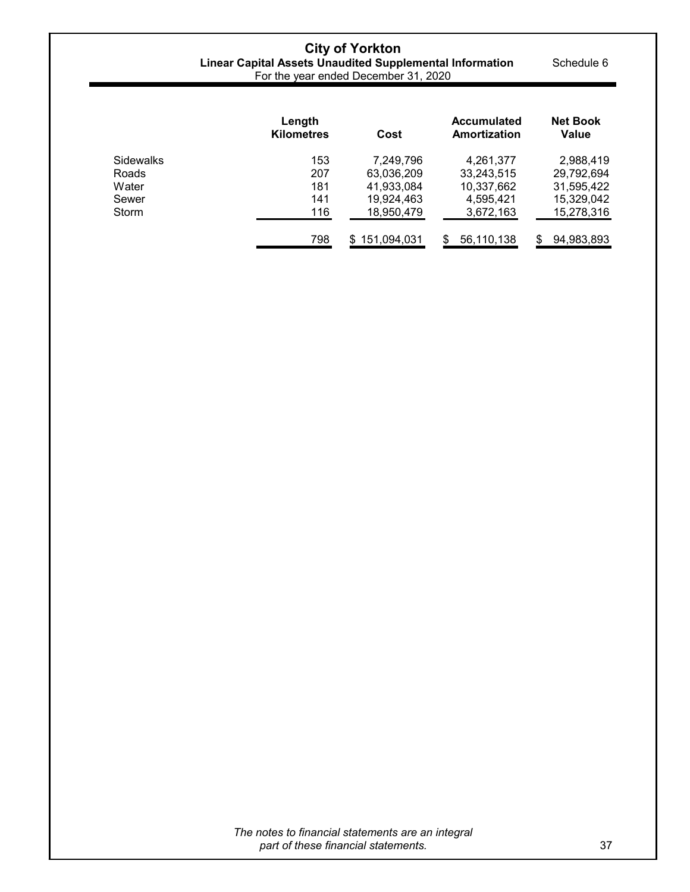#### **City of Yorkton Linear Capital Assets Unaudited Supplemental Information Schedule 6**

For the year ended December 31, 2020

|           | Length<br><b>Kilometres</b> | Cost        | <b>Accumulated</b><br>Amortization | <b>Net Book</b><br>Value |
|-----------|-----------------------------|-------------|------------------------------------|--------------------------|
| Sidewalks | 153                         | 7,249,796   | 4,261,377                          | 2,988,419                |
| Roads     | 207                         | 63,036,209  | 33,243,515                         | 29,792,694               |
| Water     | 181                         | 41,933,084  | 10,337,662                         | 31,595,422               |
| Sewer     | 141                         | 19,924,463  | 4,595,421                          | 15,329,042               |
| Storm     | 116                         | 18,950,479  | 3,672,163                          | 15,278,316               |
|           | 798                         | 151,094,031 | 56,110,138                         | 94,983,893               |

*The notes to financial statements are an integral* part of these financial statements. **37** and  $\overline{a}$  37